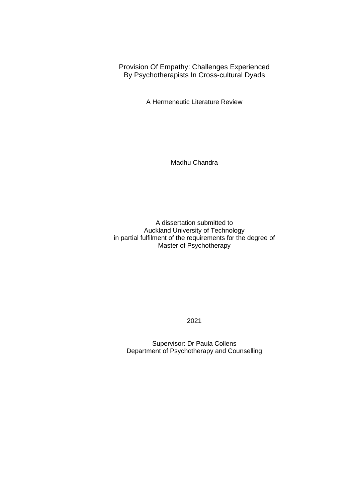Provision Of Empathy: Challenges Experienced By Psychotherapists In Cross-cultural Dyads

A Hermeneutic Literature Review

Madhu Chandra

A dissertation submitted to Auckland University of Technology in partial fulfilment of the requirements for the degree of Master of Psychotherapy

2021

Supervisor: Dr Paula Collens Department of Psychotherapy and Counselling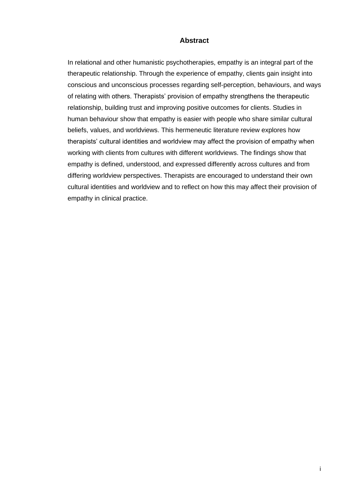## **Abstract**

<span id="page-1-0"></span>In relational and other humanistic psychotherapies, empathy is an integral part of the therapeutic relationship. Through the experience of empathy, clients gain insight into conscious and unconscious processes regarding self-perception, behaviours, and ways of relating with others. Therapists' provision of empathy strengthens the therapeutic relationship, building trust and improving positive outcomes for clients. Studies in human behaviour show that empathy is easier with people who share similar cultural beliefs, values, and worldviews. This hermeneutic literature review explores how therapists' cultural identities and worldview may affect the provision of empathy when working with clients from cultures with different worldviews. The findings show that empathy is defined, understood, and expressed differently across cultures and from differing worldview perspectives. Therapists are encouraged to understand their own cultural identities and worldview and to reflect on how this may affect their provision of empathy in clinical practice.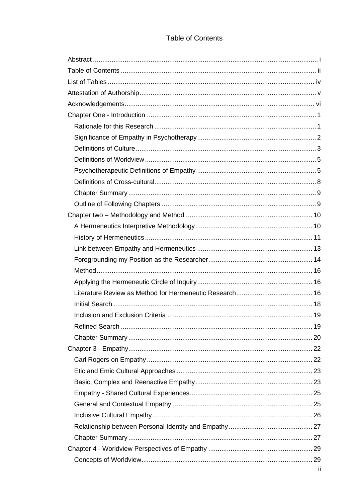# **Table of Contents**

<span id="page-2-0"></span>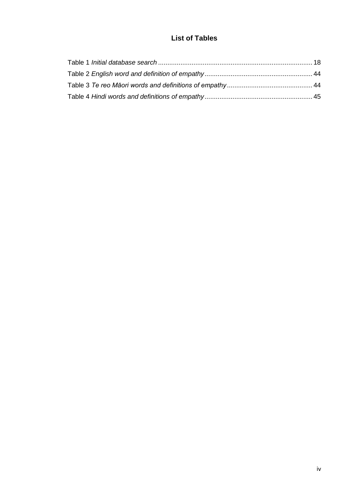# **List of Tables**

<span id="page-4-0"></span>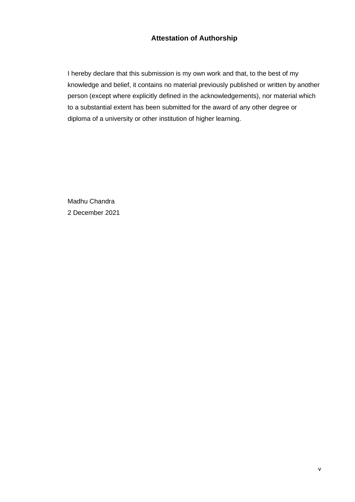## **Attestation of Authorship**

<span id="page-5-0"></span>I hereby declare that this submission is my own work and that, to the best of my knowledge and belief, it contains no material previously published or written by another person (except where explicitly defined in the acknowledgements), nor material which to a substantial extent has been submitted for the award of any other degree or diploma of a university or other institution of higher learning.

Madhu Chandra 2 December 2021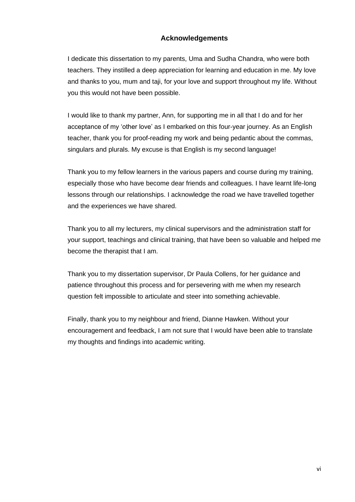## **Acknowledgements**

<span id="page-6-0"></span>I dedicate this dissertation to my parents, Uma and Sudha Chandra, who were both teachers. They instilled a deep appreciation for learning and education in me. My love and thanks to you, mum and taji, for your love and support throughout my life. Without you this would not have been possible.

I would like to thank my partner, Ann, for supporting me in all that I do and for her acceptance of my 'other love' as I embarked on this four-year journey. As an English teacher, thank you for proof-reading my work and being pedantic about the commas, singulars and plurals. My excuse is that English is my second language!

Thank you to my fellow learners in the various papers and course during my training, especially those who have become dear friends and colleagues. I have learnt life-long lessons through our relationships. I acknowledge the road we have travelled together and the experiences we have shared.

Thank you to all my lecturers, my clinical supervisors and the administration staff for your support, teachings and clinical training, that have been so valuable and helped me become the therapist that I am.

Thank you to my dissertation supervisor, Dr Paula Collens, for her guidance and patience throughout this process and for persevering with me when my research question felt impossible to articulate and steer into something achievable.

Finally, thank you to my neighbour and friend, Dianne Hawken. Without your encouragement and feedback, I am not sure that I would have been able to translate my thoughts and findings into academic writing.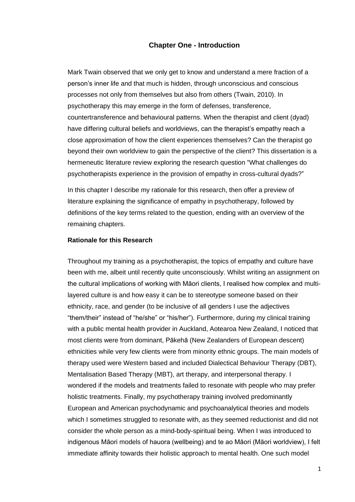#### **Chapter One - Introduction**

<span id="page-7-0"></span>Mark Twain observed that we only get to know and understand a mere fraction of a person's inner life and that much is hidden, through unconscious and conscious processes not only from themselves but also from others (Twain, 2010). In psychotherapy this may emerge in the form of defenses, transference, countertransference and behavioural patterns. When the therapist and client (dyad) have differing cultural beliefs and worldviews, can the therapist's empathy reach a close approximation of how the client experiences themselves? Can the therapist go beyond their own worldview to gain the perspective of the client? This dissertation is a hermeneutic literature review exploring the research question "What challenges do psychotherapists experience in the provision of empathy in cross-cultural dyads?"

In this chapter I describe my rationale for this research, then offer a preview of literature explaining the significance of empathy in psychotherapy, followed by definitions of the key terms related to the question, ending with an overview of the remaining chapters.

## <span id="page-7-1"></span>**Rationale for this Research**

Throughout my training as a psychotherapist, the topics of empathy and culture have been with me, albeit until recently quite unconsciously. Whilst writing an assignment on the cultural implications of working with Māori clients, I realised how complex and multilayered culture is and how easy it can be to stereotype someone based on their ethnicity, race, and gender (to be inclusive of all genders I use the adjectives "them/their" instead of "he/she" or "his/her"). Furthermore, during my clinical training with a public mental health provider in Auckland, Aotearoa New Zealand, I noticed that most clients were from dominant, Pākehā (New Zealanders of European descent) ethnicities while very few clients were from minority ethnic groups. The main models of therapy used were Western based and included Dialectical Behaviour Therapy (DBT), Mentalisation Based Therapy (MBT), art therapy, and interpersonal therapy. I wondered if the models and treatments failed to resonate with people who may prefer holistic treatments. Finally, my psychotherapy training involved predominantly European and American psychodynamic and psychoanalytical theories and models which I sometimes struggled to resonate with, as they seemed reductionist and did not consider the whole person as a mind-body-spiritual being. When I was introduced to indigenous Māori models of hauora (wellbeing) and te ao Māori (Māori worldview), I felt immediate affinity towards their holistic approach to mental health. One such model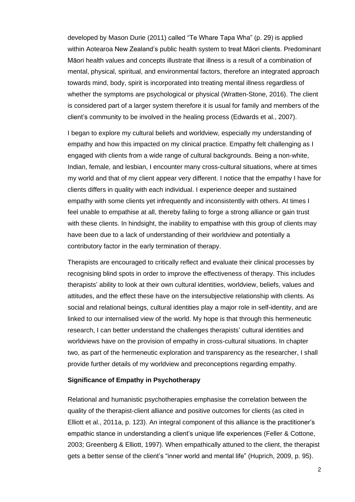developed by Mason Durie (2011) called "Te Whare Tapa Wha" (p. 29) is applied within Aotearoa New Zealand's public health system to treat Māori clients. Predominant Māori health values and concepts illustrate that illness is a result of a combination of mental, physical, spiritual, and environmental factors, therefore an integrated approach towards mind, body, spirit is incorporated into treating mental illness regardless of whether the symptoms are psychological or physical (Wratten-Stone, 2016). The client is considered part of a larger system therefore it is usual for family and members of the client's community to be involved in the healing process (Edwards et al., 2007).

I began to explore my cultural beliefs and worldview, especially my understanding of empathy and how this impacted on my clinical practice. Empathy felt challenging as I engaged with clients from a wide range of cultural backgrounds. Being a non-white, Indian, female, and lesbian, I encounter many cross-cultural situations, where at times my world and that of my client appear very different. I notice that the empathy I have for clients differs in quality with each individual. I experience deeper and sustained empathy with some clients yet infrequently and inconsistently with others. At times I feel unable to empathise at all, thereby failing to forge a strong alliance or gain trust with these clients. In hindsight, the inability to empathise with this group of clients may have been due to a lack of understanding of their worldview and potentially a contributory factor in the early termination of therapy.

Therapists are encouraged to critically reflect and evaluate their clinical processes by recognising blind spots in order to improve the effectiveness of therapy. This includes therapists' ability to look at their own cultural identities, worldview, beliefs, values and attitudes, and the effect these have on the intersubjective relationship with clients. As social and relational beings, cultural identities play a major role in self-identity, and are linked to our internalised view of the world. My hope is that through this hermeneutic research, I can better understand the challenges therapists' cultural identities and worldviews have on the provision of empathy in cross-cultural situations. In chapter two, as part of the hermeneutic exploration and transparency as the researcher, I shall provide further details of my worldview and preconceptions regarding empathy.

#### <span id="page-8-0"></span>**Significance of Empathy in Psychotherapy**

Relational and humanistic psychotherapies emphasise the correlation between the quality of the therapist-client alliance and positive outcomes for clients (as cited in Elliott et al., 2011a, p. 123). An integral component of this alliance is the practitioner's empathic stance in understanding a client's unique life experiences (Feller & Cottone, 2003; Greenberg & Elliott, 1997). When empathically attuned to the client, the therapist gets a better sense of the client's "inner world and mental life" (Huprich, 2009, p. 95).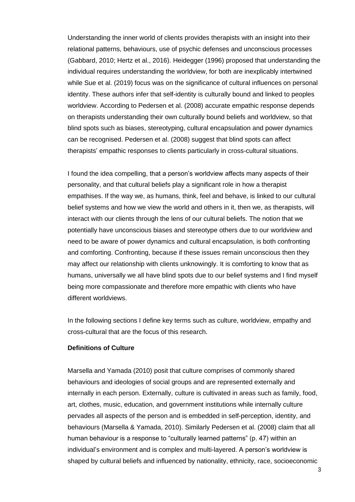Understanding the inner world of clients provides therapists with an insight into their relational patterns, behaviours, use of psychic defenses and unconscious processes (Gabbard, 2010; Hertz et al., 2016). Heidegger (1996) proposed that understanding the individual requires understanding the worldview, for both are inexplicably intertwined while Sue et al. (2019) focus was on the significance of cultural influences on personal identity. These authors infer that self-identity is culturally bound and linked to peoples worldview. According to Pedersen et al. (2008) accurate empathic response depends on therapists understanding their own culturally bound beliefs and worldview, so that blind spots such as biases, stereotyping, cultural encapsulation and power dynamics can be recognised. Pedersen et al. (2008) suggest that blind spots can affect therapists' empathic responses to clients particularly in cross-cultural situations.

I found the idea compelling, that a person's worldview affects many aspects of their personality, and that cultural beliefs play a significant role in how a therapist empathises. If the way we, as humans, think, feel and behave, is linked to our cultural belief systems and how we view the world and others in it, then we, as therapists, will interact with our clients through the lens of our cultural beliefs. The notion that we potentially have unconscious biases and stereotype others due to our worldview and need to be aware of power dynamics and cultural encapsulation, is both confronting and comforting. Confronting, because if these issues remain unconscious then they may affect our relationship with clients unknowingly. It is comforting to know that as humans, universally we all have blind spots due to our belief systems and I find myself being more compassionate and therefore more empathic with clients who have different worldviews.

In the following sections I define key terms such as culture, worldview, empathy and cross-cultural that are the focus of this research.

#### <span id="page-9-0"></span>**Definitions of Culture**

Marsella and Yamada (2010) posit that culture comprises of commonly shared behaviours and ideologies of social groups and are represented externally and internally in each person. Externally, culture is cultivated in areas such as family, food, art, clothes, music, education, and government institutions while internally culture pervades all aspects of the person and is embedded in self-perception, identity, and behaviours (Marsella & Yamada, 2010). Similarly Pedersen et al. (2008) claim that all human behaviour is a response to "culturally learned patterns" (p. 47) within an individual's environment and is complex and multi-layered. A person's worldview is shaped by cultural beliefs and influenced by nationality, ethnicity, race, socioeconomic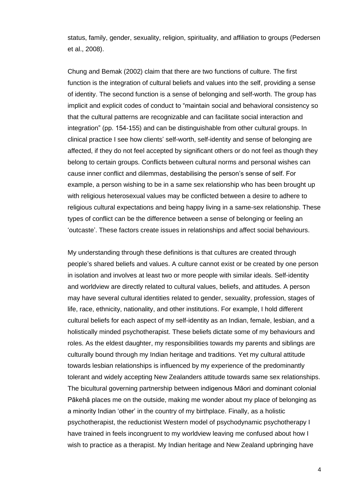status, family, gender, sexuality, religion, spirituality, and affiliation to groups (Pedersen et al., 2008).

Chung and Bemak (2002) claim that there are two functions of culture. The first function is the integration of cultural beliefs and values into the self, providing a sense of identity. The second function is a sense of belonging and self-worth. The group has implicit and explicit codes of conduct to "maintain social and behavioral consistency so that the cultural patterns are recognizable and can facilitate social interaction and integration" (pp. 154-155) and can be distinguishable from other cultural groups. In clinical practice I see how clients' self-worth, self-identity and sense of belonging are affected, if they do not feel accepted by significant others or do not feel as though they belong to certain groups. Conflicts between cultural norms and personal wishes can cause inner conflict and dilemmas, destabilising the person's sense of self. For example, a person wishing to be in a same sex relationship who has been brought up with religious heterosexual values may be conflicted between a desire to adhere to religious cultural expectations and being happy living in a same-sex relationship. These types of conflict can be the difference between a sense of belonging or feeling an 'outcaste'. These factors create issues in relationships and affect social behaviours.

My understanding through these definitions is that cultures are created through people's shared beliefs and values. A culture cannot exist or be created by one person in isolation and involves at least two or more people with similar ideals. Self-identity and worldview are directly related to cultural values, beliefs, and attitudes. A person may have several cultural identities related to gender, sexuality, profession, stages of life, race, ethnicity, nationality, and other institutions. For example, I hold different cultural beliefs for each aspect of my self-identity as an Indian, female, lesbian, and a holistically minded psychotherapist. These beliefs dictate some of my behaviours and roles. As the eldest daughter, my responsibilities towards my parents and siblings are culturally bound through my Indian heritage and traditions. Yet my cultural attitude towards lesbian relationships is influenced by my experience of the predominantly tolerant and widely accepting New Zealanders attitude towards same sex relationships. The bicultural governing partnership between indigenous Māori and dominant colonial Pākehā places me on the outside, making me wonder about my place of belonging as a minority Indian 'other' in the country of my birthplace. Finally, as a holistic psychotherapist, the reductionist Western model of psychodynamic psychotherapy I have trained in feels incongruent to my worldview leaving me confused about how I wish to practice as a therapist. My Indian heritage and New Zealand upbringing have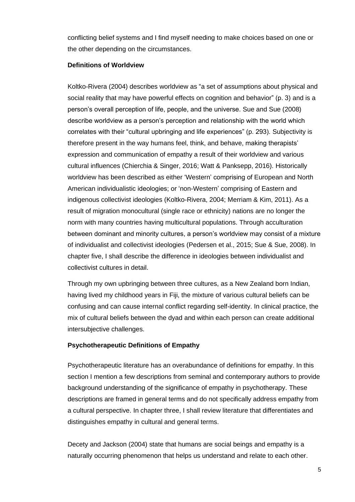conflicting belief systems and I find myself needing to make choices based on one or the other depending on the circumstances.

## <span id="page-11-0"></span>**Definitions of Worldview**

Koltko-Rivera (2004) describes worldview as "a set of assumptions about physical and social reality that may have powerful effects on cognition and behavior" (p. 3) and is a person's overall perception of life, people, and the universe. Sue and Sue (2008) describe worldview as a person's perception and relationship with the world which correlates with their "cultural upbringing and life experiences" (p. 293). Subjectivity is therefore present in the way humans feel, think, and behave, making therapists' expression and communication of empathy a result of their worldview and various cultural influences (Chierchia & Singer, 2016; Watt & Panksepp, 2016). Historically worldview has been described as either 'Western' comprising of European and North American individualistic ideologies; or 'non-Western' comprising of Eastern and indigenous collectivist ideologies (Koltko-Rivera, 2004; Merriam & Kim, 2011). As a result of migration monocultural (single race or ethnicity) nations are no longer the norm with many countries having multicultural populations. Through acculturation between dominant and minority cultures, a person's worldview may consist of a mixture of individualist and collectivist ideologies (Pedersen et al., 2015; Sue & Sue, 2008). In chapter five, I shall describe the difference in ideologies between individualist and collectivist cultures in detail.

Through my own upbringing between three cultures, as a New Zealand born Indian, having lived my childhood years in Fiji, the mixture of various cultural beliefs can be confusing and can cause internal conflict regarding self-identity. In clinical practice, the mix of cultural beliefs between the dyad and within each person can create additional intersubjective challenges.

## <span id="page-11-1"></span>**Psychotherapeutic Definitions of Empathy**

Psychotherapeutic literature has an overabundance of definitions for empathy. In this section I mention a few descriptions from seminal and contemporary authors to provide background understanding of the significance of empathy in psychotherapy. These descriptions are framed in general terms and do not specifically address empathy from a cultural perspective. In chapter three, I shall review literature that differentiates and distinguishes empathy in cultural and general terms.

Decety and Jackson (2004) state that humans are social beings and empathy is a naturally occurring phenomenon that helps us understand and relate to each other.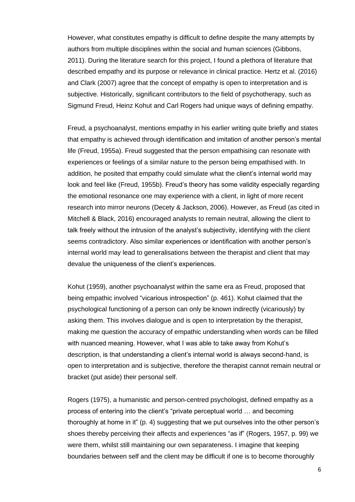However, what constitutes empathy is difficult to define despite the many attempts by authors from multiple disciplines within the social and human sciences (Gibbons, 2011). During the literature search for this project, I found a plethora of literature that described empathy and its purpose or relevance in clinical practice. Hertz et al. (2016) and Clark (2007) agree that the concept of empathy is open to interpretation and is subjective. Historically, significant contributors to the field of psychotherapy, such as Sigmund Freud, Heinz Kohut and Carl Rogers had unique ways of defining empathy.

Freud, a psychoanalyst, mentions empathy in his earlier writing quite briefly and states that empathy is achieved through identification and imitation of another person's mental life (Freud, 1955a). Freud suggested that the person empathising can resonate with experiences or feelings of a similar nature to the person being empathised with. In addition, he posited that empathy could simulate what the client's internal world may look and feel like (Freud, 1955b). Freud's theory has some validity especially regarding the emotional resonance one may experience with a client, in light of more recent research into mirror neurons (Decety & Jackson, 2006). However, as Freud (as cited in Mitchell & Black, 2016) encouraged analysts to remain neutral, allowing the client to talk freely without the intrusion of the analyst's subjectivity, identifying with the client seems contradictory. Also similar experiences or identification with another person's internal world may lead to generalisations between the therapist and client that may devalue the uniqueness of the client's experiences.

Kohut (1959), another psychoanalyst within the same era as Freud, proposed that being empathic involved "vicarious introspection" (p. 461). Kohut claimed that the psychological functioning of a person can only be known indirectly (vicariously) by asking them. This involves dialogue and is open to interpretation by the therapist, making me question the accuracy of empathic understanding when words can be filled with nuanced meaning. However, what I was able to take away from Kohut's description, is that understanding a client's internal world is always second-hand, is open to interpretation and is subjective, therefore the therapist cannot remain neutral or bracket (put aside) their personal self.

Rogers (1975), a humanistic and person-centred psychologist, defined empathy as a process of entering into the client's "private perceptual world … and becoming thoroughly at home in it" (p. 4) suggesting that we put ourselves into the other person's shoes thereby perceiving their affects and experiences "as if" (Rogers, 1957, p. 99) we were them, whilst still maintaining our own separateness. I imagine that keeping boundaries between self and the client may be difficult if one is to become thoroughly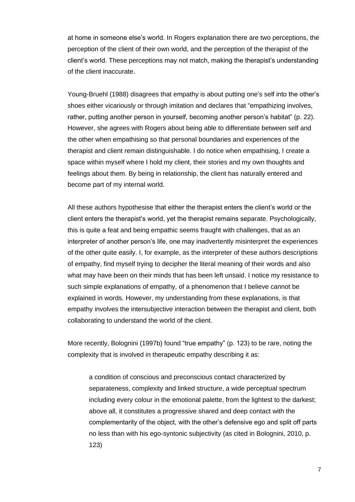at home in someone else's world. In Rogers explanation there are two perceptions, the perception of the client of their own world, and the perception of the therapist of the client's world. These perceptions may not match, making the therapist's understanding of the client inaccurate.

Young-Bruehl (1988) disagrees that empathy is about putting one's self into the other's shoes either vicariously or through imitation and declares that "empathizing involves, rather, putting another person in yourself, becoming another person's habitat" (p. 22). However, she agrees with Rogers about being able to differentiate between self and the other when empathising so that personal boundaries and experiences of the therapist and client remain distinguishable. I do notice when empathising, I create a space within myself where I hold my client, their stories and my own thoughts and feelings about them. By being in relationship, the client has naturally entered and become part of my internal world.

All these authors hypothesise that either the therapist enters the client's world or the client enters the therapist's world, yet the therapist remains separate. Psychologically, this is quite a feat and being empathic seems fraught with challenges, that as an interpreter of another person's life, one may inadvertently misinterpret the experiences of the other quite easily. I, for example, as the interpreter of these authors descriptions of empathy, find myself trying to decipher the literal meaning of their words and also what may have been on their minds that has been left unsaid. I notice my resistance to such simple explanations of empathy, of a phenomenon that I believe cannot be explained in words. However, my understanding from these explanations, is that empathy involves the intersubjective interaction between the therapist and client, both collaborating to understand the world of the client.

More recently, Bolognini (1997b) found "true empathy" (p. 123) to be rare, noting the complexity that is involved in therapeutic empathy describing it as:

a condition of conscious and preconscious contact characterized by separateness, complexity and linked structure, a wide perceptual spectrum including every colour in the emotional palette, from the lightest to the darkest; above all, it constitutes a progressive shared and deep contact with the complementarity of the object, with the other's defensive ego and split off parts no less than with his ego-syntonic subjectivity (as cited in Bolognini, 2010, p. 123)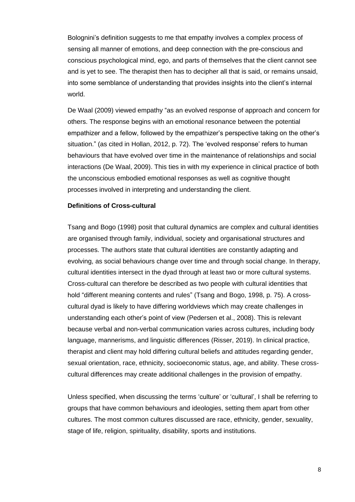Bolognini's definition suggests to me that empathy involves a complex process of sensing all manner of emotions, and deep connection with the pre-conscious and conscious psychological mind, ego, and parts of themselves that the client cannot see and is yet to see. The therapist then has to decipher all that is said, or remains unsaid, into some semblance of understanding that provides insights into the client's internal world.

De Waal (2009) viewed empathy "as an evolved response of approach and concern for others. The response begins with an emotional resonance between the potential empathizer and a fellow, followed by the empathizer's perspective taking on the other's situation." (as cited in Hollan, 2012, p. 72). The 'evolved response' refers to human behaviours that have evolved over time in the maintenance of relationships and social interactions (De Waal, 2009). This ties in with my experience in clinical practice of both the unconscious embodied emotional responses as well as cognitive thought processes involved in interpreting and understanding the client.

## <span id="page-14-0"></span>**Definitions of Cross-cultural**

Tsang and Bogo (1998) posit that cultural dynamics are complex and cultural identities are organised through family, individual, society and organisational structures and processes. The authors state that cultural identities are constantly adapting and evolving, as social behaviours change over time and through social change. In therapy, cultural identities intersect in the dyad through at least two or more cultural systems. Cross-cultural can therefore be described as two people with cultural identities that hold "different meaning contents and rules" (Tsang and Bogo, 1998, p. 75). A crosscultural dyad is likely to have differing worldviews which may create challenges in understanding each other's point of view (Pedersen et al., 2008). This is relevant because verbal and non-verbal communication varies across cultures, including body language, mannerisms, and linguistic differences (Risser, 2019). In clinical practice, therapist and client may hold differing cultural beliefs and attitudes regarding gender, sexual orientation, race, ethnicity, socioeconomic status, age, and ability. These crosscultural differences may create additional challenges in the provision of empathy.

Unless specified, when discussing the terms 'culture' or 'cultural', I shall be referring to groups that have common behaviours and ideologies, setting them apart from other cultures. The most common cultures discussed are race, ethnicity, gender, sexuality, stage of life, religion, spirituality, disability, sports and institutions.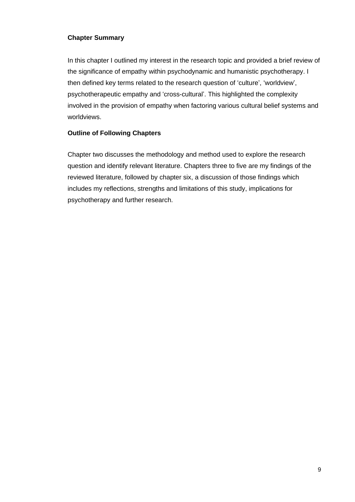## <span id="page-15-0"></span>**Chapter Summary**

In this chapter I outlined my interest in the research topic and provided a brief review of the significance of empathy within psychodynamic and humanistic psychotherapy. I then defined key terms related to the research question of 'culture', 'worldview', psychotherapeutic empathy and 'cross-cultural'. This highlighted the complexity involved in the provision of empathy when factoring various cultural belief systems and worldviews.

## <span id="page-15-1"></span>**Outline of Following Chapters**

Chapter two discusses the methodology and method used to explore the research question and identify relevant literature. Chapters three to five are my findings of the reviewed literature, followed by chapter six, a discussion of those findings which includes my reflections, strengths and limitations of this study, implications for psychotherapy and further research.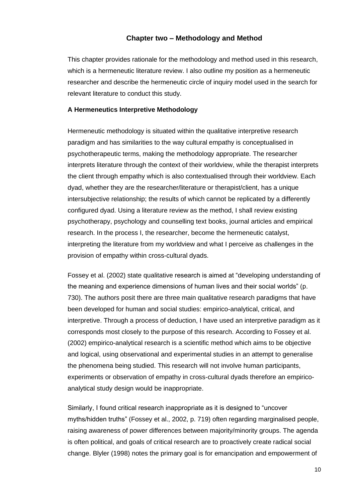## **Chapter two – Methodology and Method**

<span id="page-16-0"></span>This chapter provides rationale for the methodology and method used in this research, which is a hermeneutic literature review. I also outline my position as a hermeneutic researcher and describe the hermeneutic circle of inquiry model used in the search for relevant literature to conduct this study.

#### <span id="page-16-1"></span>**A Hermeneutics Interpretive Methodology**

Hermeneutic methodology is situated within the qualitative interpretive research paradigm and has similarities to the way cultural empathy is conceptualised in psychotherapeutic terms, making the methodology appropriate. The researcher interprets literature through the context of their worldview, while the therapist interprets the client through empathy which is also contextualised through their worldview. Each dyad, whether they are the researcher/literature or therapist/client, has a unique intersubjective relationship; the results of which cannot be replicated by a differently configured dyad. Using a literature review as the method, I shall review existing psychotherapy, psychology and counselling text books, journal articles and empirical research. In the process I, the researcher, become the hermeneutic catalyst, interpreting the literature from my worldview and what I perceive as challenges in the provision of empathy within cross-cultural dyads.

Fossey et al. (2002) state qualitative research is aimed at "developing understanding of the meaning and experience dimensions of human lives and their social worlds" (p. 730). The authors posit there are three main qualitative research paradigms that have been developed for human and social studies: empirico-analytical, critical, and interpretive. Through a process of deduction, I have used an interpretive paradigm as it corresponds most closely to the purpose of this research. According to Fossey et al. (2002) empirico-analytical research is a scientific method which aims to be objective and logical, using observational and experimental studies in an attempt to generalise the phenomena being studied. This research will not involve human participants, experiments or observation of empathy in cross-cultural dyads therefore an empiricoanalytical study design would be inappropriate.

Similarly, I found critical research inappropriate as it is designed to "uncover myths/hidden truths" (Fossey et al., 2002, p. 719) often regarding marginalised people, raising awareness of power differences between majority/minority groups. The agenda is often political, and goals of critical research are to proactively create radical social change. Blyler (1998) notes the primary goal is for emancipation and empowerment of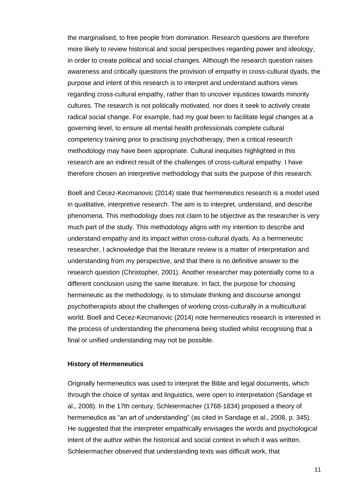the marginalised, to free people from domination. Research questions are therefore more likely to review historical and social perspectives regarding power and ideology, in order to create political and social changes. Although the research question raises awareness and critically questions the provision of empathy in cross-cultural dyads, the purpose and intent of this research is to interpret and understand authors views regarding cross-cultural empathy, rather than to uncover injustices towards minority cultures. The research is not politically motivated, nor does it seek to actively create radical social change. For example, had my goal been to facilitate legal changes at a governing level, to ensure all mental health professionals complete cultural competency training prior to practising psychotherapy, then a critical research methodology may have been appropriate. Cultural inequities highlighted in this research are an indirect result of the challenges of cross-cultural empathy. I have therefore chosen an interpretive methodology that suits the purpose of this research.

Boell and Cecez-Kecmanovic (2014) state that hermeneutics research is a model used in qualitative, interpretive research. The aim is to interpret, understand, and describe phenomena. This methodology does not claim to be objective as the researcher is very much part of the study. This methodology aligns with my intention to describe and understand empathy and its impact within cross-cultural dyads. As a hermeneutic researcher, I acknowledge that the literature review is a matter of interpretation and understanding from my perspective, and that there is no definitive answer to the research question (Christopher, 2001). Another researcher may potentially come to a different conclusion using the same literature. In fact, the purpose for choosing hermeneutic as the methodology, is to stimulate thinking and discourse amongst psychotherapists about the challenges of working cross-culturally in a multicultural world. Boell and Cecez-Kecmanovic (2014) note hermeneutics research is interested in the process of understanding the phenomena being studied whilst recognising that a final or unified understanding may not be possible.

#### <span id="page-17-0"></span>**History of Hermeneutics**

Originally hermeneutics was used to interpret the Bible and legal documents, which through the choice of syntax and linguistics, were open to interpretation (Sandage et al., 2008). In the 17th century, Schleiermacher (1768-1834) proposed a theory of hermeneutics as "an art of understanding" (as cited in Sandage et al., 2008, p. 345). He suggested that the interpreter empathically envisages the words and psychological intent of the author within the historical and social context in which it was written. Schleiermacher observed that understanding texts was difficult work, that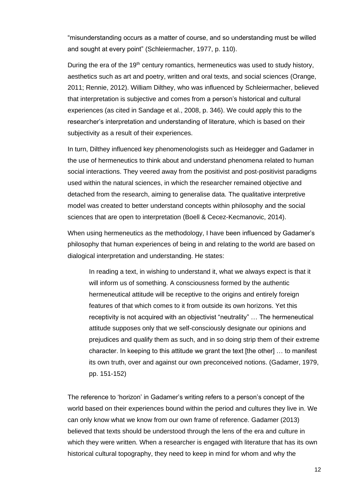"misunderstanding occurs as a matter of course, and so understanding must be willed and sought at every point" (Schleiermacher, 1977, p. 110).

During the era of the  $19<sup>th</sup>$  century romantics, hermeneutics was used to study history, aesthetics such as art and poetry, written and oral texts, and social sciences (Orange, 2011; Rennie, 2012). William Dilthey, who was influenced by Schleiermacher, believed that interpretation is subjective and comes from a person's historical and cultural experiences (as cited in Sandage et al., 2008, p. 346). We could apply this to the researcher's interpretation and understanding of literature, which is based on their subjectivity as a result of their experiences.

In turn, Dilthey influenced key phenomenologists such as Heidegger and Gadamer in the use of hermeneutics to think about and understand phenomena related to human social interactions. They veered away from the positivist and post-positivist paradigms used within the natural sciences, in which the researcher remained objective and detached from the research, aiming to generalise data. The qualitative interpretive model was created to better understand concepts within philosophy and the social sciences that are open to interpretation (Boell & Cecez-Kecmanovic, 2014).

When using hermeneutics as the methodology, I have been influenced by Gadamer's philosophy that human experiences of being in and relating to the world are based on dialogical interpretation and understanding. He states:

In reading a text, in wishing to understand it, what we always expect is that it will inform us of something. A consciousness formed by the authentic hermeneutical attitude will be receptive to the origins and entirely foreign features of that which comes to it from outside its own horizons. Yet this receptivity is not acquired with an objectivist "neutrality" … The hermeneutical attitude supposes only that we self-consciously designate our opinions and prejudices and qualify them as such, and in so doing strip them of their extreme character. In keeping to this attitude we grant the text [the other] … to manifest its own truth, over and against our own preconceived notions. (Gadamer, 1979, pp. 151-152)

The reference to 'horizon' in Gadamer's writing refers to a person's concept of the world based on their experiences bound within the period and cultures they live in. We can only know what we know from our own frame of reference. Gadamer (2013) believed that texts should be understood through the lens of the era and culture in which they were written. When a researcher is engaged with literature that has its own historical cultural topography, they need to keep in mind for whom and why the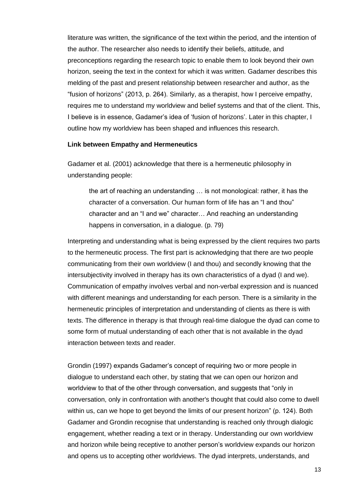literature was written, the significance of the text within the period, and the intention of the author. The researcher also needs to identify their beliefs, attitude, and preconceptions regarding the research topic to enable them to look beyond their own horizon, seeing the text in the context for which it was written. Gadamer describes this melding of the past and present relationship between researcher and author, as the "fusion of horizons" (2013, p. 264). Similarly, as a therapist, how I perceive empathy, requires me to understand my worldview and belief systems and that of the client. This, I believe is in essence, Gadamer's idea of 'fusion of horizons'. Later in this chapter, I outline how my worldview has been shaped and influences this research.

#### <span id="page-19-0"></span>**Link between Empathy and Hermeneutics**

Gadamer et al. (2001) acknowledge that there is a hermeneutic philosophy in understanding people:

the art of reaching an understanding … is not monological: rather, it has the character of a conversation. Our human form of life has an "I and thou" character and an "I and we" character… And reaching an understanding happens in conversation, in a dialogue. (p. 79)

Interpreting and understanding what is being expressed by the client requires two parts to the hermeneutic process. The first part is acknowledging that there are two people communicating from their own worldview (I and thou) and secondly knowing that the intersubjectivity involved in therapy has its own characteristics of a dyad (I and we). Communication of empathy involves verbal and non-verbal expression and is nuanced with different meanings and understanding for each person. There is a similarity in the hermeneutic principles of interpretation and understanding of clients as there is with texts. The difference in therapy is that through real-time dialogue the dyad can come to some form of mutual understanding of each other that is not available in the dyad interaction between texts and reader.

Grondin (1997) expands Gadamer's concept of requiring two or more people in dialogue to understand each other, by stating that we can open our horizon and worldview to that of the other through conversation, and suggests that "only in conversation, only in confrontation with another's thought that could also come to dwell within us, can we hope to get beyond the limits of our present horizon" (p. 124). Both Gadamer and Grondin recognise that understanding is reached only through dialogic engagement, whether reading a text or in therapy. Understanding our own worldview and horizon while being receptive to another person's worldview expands our horizon and opens us to accepting other worldviews. The dyad interprets, understands, and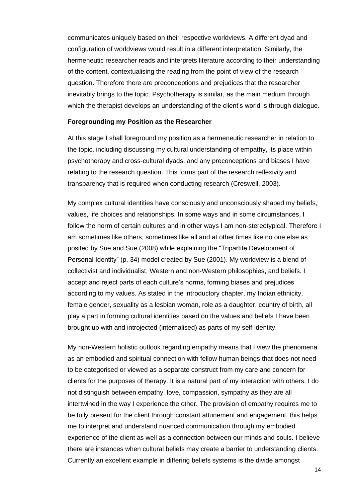communicates uniquely based on their respective worldviews. A different dyad and configuration of worldviews would result in a different interpretation. Similarly, the hermeneutic researcher reads and interprets literature according to their understanding of the content, contextualising the reading from the point of view of the research question. Therefore there are preconceptions and prejudices that the researcher inevitably brings to the topic. Psychotherapy is similar, as the main medium through which the therapist develops an understanding of the client's world is through dialogue.

## <span id="page-20-0"></span>**Foregrounding my Position as the Researcher**

At this stage I shall foreground my position as a hermeneutic researcher in relation to the topic, including discussing my cultural understanding of empathy, its place within psychotherapy and cross-cultural dyads, and any preconceptions and biases I have relating to the research question. This forms part of the research reflexivity and transparency that is required when conducting research (Creswell, 2003).

My complex cultural identities have consciously and unconsciously shaped my beliefs, values, life choices and relationships. In some ways and in some circumstances, I follow the norm of certain cultures and in other ways I am non-stereotypical. Therefore I am sometimes like others, sometimes like all and at other times like no one else as posited by Sue and Sue (2008) while explaining the "Tripartite Development of Personal Identity" (p. 34) model created by Sue (2001). My worldview is a blend of collectivist and individualist, Western and non-Western philosophies, and beliefs. I accept and reject parts of each culture's norms, forming biases and prejudices according to my values. As stated in the introductory chapter, my Indian ethnicity, female gender, sexuality as a lesbian woman, role as a daughter, country of birth, all play a part in forming cultural identities based on the values and beliefs I have been brought up with and introjected (internalised) as parts of my self-identity.

My non-Western holistic outlook regarding empathy means that I view the phenomena as an embodied and spiritual connection with fellow human beings that does not need to be categorised or viewed as a separate construct from my care and concern for clients for the purposes of therapy. It is a natural part of my interaction with others. I do not distinguish between empathy, love, compassion, sympathy as they are all intertwined in the way I experience the other. The provision of empathy requires me to be fully present for the client through constant attunement and engagement, this helps me to interpret and understand nuanced communication through my embodied experience of the client as well as a connection between our minds and souls. I believe there are instances when cultural beliefs may create a barrier to understanding clients. Currently an excellent example in differing beliefs systems is the divide amongst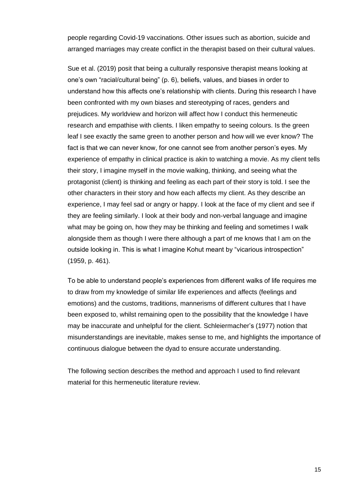people regarding Covid-19 vaccinations. Other issues such as abortion, suicide and arranged marriages may create conflict in the therapist based on their cultural values.

Sue et al. (2019) posit that being a culturally responsive therapist means looking at one's own "racial/cultural being" (p. 6), beliefs, values, and biases in order to understand how this affects one's relationship with clients. During this research I have been confronted with my own biases and stereotyping of races, genders and prejudices. My worldview and horizon will affect how I conduct this hermeneutic research and empathise with clients. I liken empathy to seeing colours. Is the green leaf I see exactly the same green to another person and how will we ever know? The fact is that we can never know, for one cannot see from another person's eyes. My experience of empathy in clinical practice is akin to watching a movie. As my client tells their story, I imagine myself in the movie walking, thinking, and seeing what the protagonist (client) is thinking and feeling as each part of their story is told. I see the other characters in their story and how each affects my client. As they describe an experience, I may feel sad or angry or happy. I look at the face of my client and see if they are feeling similarly. I look at their body and non-verbal language and imagine what may be going on, how they may be thinking and feeling and sometimes I walk alongside them as though I were there although a part of me knows that I am on the outside looking in. This is what I imagine Kohut meant by "vicarious introspection" (1959, p. 461).

To be able to understand people's experiences from different walks of life requires me to draw from my knowledge of similar life experiences and affects (feelings and emotions) and the customs, traditions, mannerisms of different cultures that I have been exposed to, whilst remaining open to the possibility that the knowledge I have may be inaccurate and unhelpful for the client. Schleiermacher's (1977) notion that misunderstandings are inevitable, makes sense to me, and highlights the importance of continuous dialogue between the dyad to ensure accurate understanding.

The following section describes the method and approach I used to find relevant material for this hermeneutic literature review.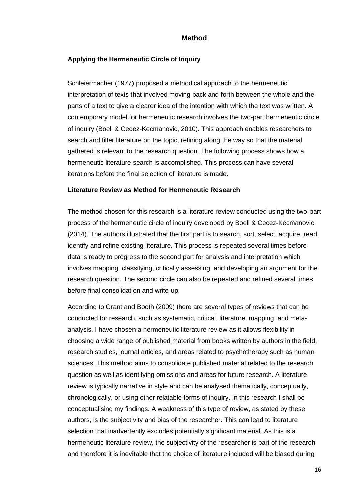## **Method**

## <span id="page-22-1"></span><span id="page-22-0"></span>**Applying the Hermeneutic Circle of Inquiry**

Schleiermacher (1977) proposed a methodical approach to the hermeneutic interpretation of texts that involved moving back and forth between the whole and the parts of a text to give a clearer idea of the intention with which the text was written. A contemporary model for hermeneutic research involves the two-part hermeneutic circle of inquiry (Boell & Cecez-Kecmanovic, 2010). This approach enables researchers to search and filter literature on the topic, refining along the way so that the material gathered is relevant to the research question. The following process shows how a hermeneutic literature search is accomplished. This process can have several iterations before the final selection of literature is made.

## <span id="page-22-2"></span>**Literature Review as Method for Hermeneutic Research**

The method chosen for this research is a literature review conducted using the two-part process of the hermeneutic circle of inquiry developed by Boell & Cecez-Kecmanovic (2014). The authors illustrated that the first part is to search, sort, select, acquire, read, identify and refine existing literature. This process is repeated several times before data is ready to progress to the second part for analysis and interpretation which involves mapping, classifying, critically assessing, and developing an argument for the research question. The second circle can also be repeated and refined several times before final consolidation and write-up.

According to Grant and Booth (2009) there are several types of reviews that can be conducted for research, such as systematic, critical, literature, mapping, and metaanalysis. I have chosen a hermeneutic literature review as it allows flexibility in choosing a wide range of published material from books written by authors in the field, research studies, journal articles, and areas related to psychotherapy such as human sciences. This method aims to consolidate published material related to the research question as well as identifying omissions and areas for future research. A literature review is typically narrative in style and can be analysed thematically, conceptually, chronologically, or using other relatable forms of inquiry. In this research I shall be conceptualising my findings. A weakness of this type of review, as stated by these authors, is the subjectivity and bias of the researcher. This can lead to literature selection that inadvertently excludes potentially significant material. As this is a hermeneutic literature review, the subjectivity of the researcher is part of the research and therefore it is inevitable that the choice of literature included will be biased during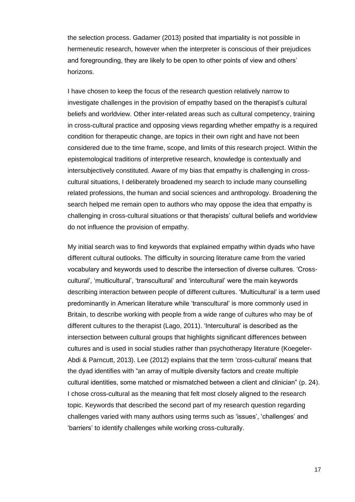the selection process. Gadamer (2013) posited that impartiality is not possible in hermeneutic research, however when the interpreter is conscious of their prejudices and foregrounding, they are likely to be open to other points of view and others' horizons.

I have chosen to keep the focus of the research question relatively narrow to investigate challenges in the provision of empathy based on the therapist's cultural beliefs and worldview. Other inter-related areas such as cultural competency, training in cross-cultural practice and opposing views regarding whether empathy is a required condition for therapeutic change, are topics in their own right and have not been considered due to the time frame, scope, and limits of this research project. Within the epistemological traditions of interpretive research, knowledge is contextually and intersubjectively constituted. Aware of my bias that empathy is challenging in crosscultural situations, I deliberately broadened my search to include many counselling related professions, the human and social sciences and anthropology. Broadening the search helped me remain open to authors who may oppose the idea that empathy is challenging in cross-cultural situations or that therapists' cultural beliefs and worldview do not influence the provision of empathy.

My initial search was to find keywords that explained empathy within dyads who have different cultural outlooks. The difficulty in sourcing literature came from the varied vocabulary and keywords used to describe the intersection of diverse cultures. 'Crosscultural', 'multicultural', 'transcultural' and 'intercultural' were the main keywords describing interaction between people of different cultures. 'Multicultural' is a term used predominantly in American literature while 'transcultural' is more commonly used in Britain, to describe working with people from a wide range of cultures who may be of different cultures to the therapist (Lago, 2011). 'Intercultural' is described as the intersection between cultural groups that highlights significant differences between cultures and is used in social studies rather than psychotherapy literature (Koegeler-Abdi & Parncutt, 2013). Lee (2012) explains that the term 'cross-cultural' means that the dyad identifies with "an array of multiple diversity factors and create multiple cultural identities, some matched or mismatched between a client and clinician" (p. 24). I chose cross-cultural as the meaning that felt most closely aligned to the research topic. Keywords that described the second part of my research question regarding challenges varied with many authors using terms such as 'issues', 'challenges' and 'barriers' to identify challenges while working cross-culturally.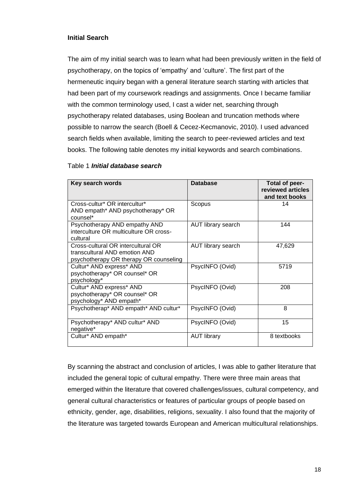## <span id="page-24-0"></span>**Initial Search**

The aim of my initial search was to learn what had been previously written in the field of psychotherapy, on the topics of 'empathy' and 'culture'. The first part of the hermeneutic inquiry began with a general literature search starting with articles that had been part of my coursework readings and assignments. Once I became familiar with the common terminology used, I cast a wider net, searching through psychotherapy related databases, using Boolean and truncation methods where possible to narrow the search (Boell & Cecez-Kecmanovic, 2010). I used advanced search fields when available, limiting the search to peer-reviewed articles and text books. The following table denotes my initial keywords and search combinations.

## <span id="page-24-1"></span>Table 1 *Initial database search*

| Key search words                                                                                              | <b>Database</b>           | <b>Total of peer-</b><br>reviewed articles<br>and text books |
|---------------------------------------------------------------------------------------------------------------|---------------------------|--------------------------------------------------------------|
| Cross-cultur* OR intercultur*<br>AND empath* AND psychotherapy* OR<br>counsel*                                | Scopus                    | 14                                                           |
| Psychotherapy AND empathy AND<br>interculture OR multiculture OR cross-<br>cultural                           | <b>AUT library search</b> | 144                                                          |
| Cross-cultural OR intercultural OR<br>transcultural AND emotion AND<br>psychotherapy OR therapy OR counseling | <b>AUT library search</b> | 47,629                                                       |
| Cultur* AND express* AND<br>psychotherapy* OR counsel* OR<br>psychology*                                      | PsycINFO (Ovid)           | 5719                                                         |
| Cultur* AND express* AND<br>psychotherapy* OR counsel* OR<br>psychology* AND empath*                          | PsycINFO (Ovid)           | 208                                                          |
| Psychotherap* AND empath* AND cultur*                                                                         | PsycINFO (Ovid)           | 8                                                            |
| Psychotherapy* AND cultur* AND<br>negative*                                                                   | PsycINFO (Ovid)           | 15                                                           |
| Cultur* AND empath*                                                                                           | <b>AUT library</b>        | 8 textbooks                                                  |

By scanning the abstract and conclusion of articles, I was able to gather literature that included the general topic of cultural empathy. There were three main areas that emerged within the literature that covered challenges/issues, cultural competency, and general cultural characteristics or features of particular groups of people based on ethnicity, gender, age, disabilities, religions, sexuality. I also found that the majority of the literature was targeted towards European and American multicultural relationships.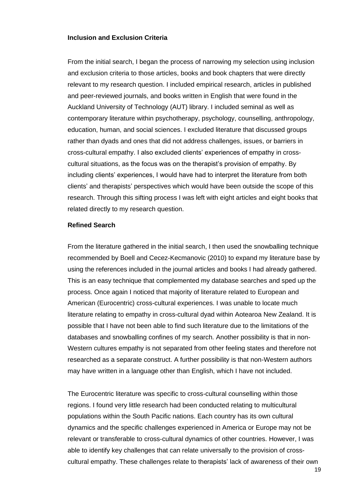## <span id="page-25-0"></span>**Inclusion and Exclusion Criteria**

From the initial search, I began the process of narrowing my selection using inclusion and exclusion criteria to those articles, books and book chapters that were directly relevant to my research question. I included empirical research, articles in published and peer-reviewed journals, and books written in English that were found in the Auckland University of Technology (AUT) library. I included seminal as well as contemporary literature within psychotherapy, psychology, counselling, anthropology, education, human, and social sciences. I excluded literature that discussed groups rather than dyads and ones that did not address challenges, issues, or barriers in cross-cultural empathy. I also excluded clients' experiences of empathy in crosscultural situations, as the focus was on the therapist's provision of empathy. By including clients' experiences, I would have had to interpret the literature from both clients' and therapists' perspectives which would have been outside the scope of this research. Through this sifting process I was left with eight articles and eight books that related directly to my research question.

#### <span id="page-25-1"></span>**Refined Search**

From the literature gathered in the initial search, I then used the snowballing technique recommended by Boell and Cecez-Kecmanovic (2010) to expand my literature base by using the references included in the journal articles and books I had already gathered. This is an easy technique that complemented my database searches and sped up the process. Once again I noticed that majority of literature related to European and American (Eurocentric) cross-cultural experiences. I was unable to locate much literature relating to empathy in cross-cultural dyad within Aotearoa New Zealand. It is possible that I have not been able to find such literature due to the limitations of the databases and snowballing confines of my search. Another possibility is that in non-Western cultures empathy is not separated from other feeling states and therefore not researched as a separate construct. A further possibility is that non-Western authors may have written in a language other than English, which I have not included.

The Eurocentric literature was specific to cross-cultural counselling within those regions. I found very little research had been conducted relating to multicultural populations within the South Pacific nations. Each country has its own cultural dynamics and the specific challenges experienced in America or Europe may not be relevant or transferable to cross-cultural dynamics of other countries. However, I was able to identify key challenges that can relate universally to the provision of crosscultural empathy. These challenges relate to therapists' lack of awareness of their own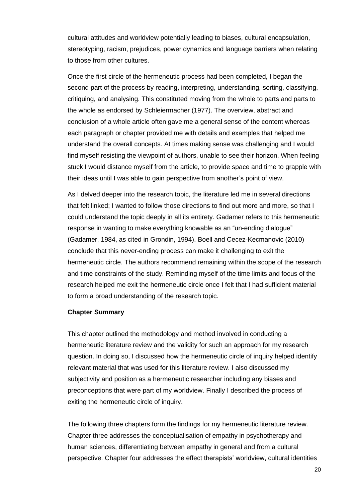cultural attitudes and worldview potentially leading to biases, cultural encapsulation, stereotyping, racism, prejudices, power dynamics and language barriers when relating to those from other cultures.

Once the first circle of the hermeneutic process had been completed, I began the second part of the process by reading, interpreting, understanding, sorting, classifying, critiquing, and analysing. This constituted moving from the whole to parts and parts to the whole as endorsed by Schleiermacher (1977). The overview, abstract and conclusion of a whole article often gave me a general sense of the content whereas each paragraph or chapter provided me with details and examples that helped me understand the overall concepts. At times making sense was challenging and I would find myself resisting the viewpoint of authors, unable to see their horizon. When feeling stuck I would distance myself from the article, to provide space and time to grapple with their ideas until I was able to gain perspective from another's point of view.

As I delved deeper into the research topic, the literature led me in several directions that felt linked; I wanted to follow those directions to find out more and more, so that I could understand the topic deeply in all its entirety. Gadamer refers to this hermeneutic response in wanting to make everything knowable as an "un-ending dialogue" (Gadamer, 1984, as cited in Grondin, 1994). Boell and Cecez-Kecmanovic (2010) conclude that this never-ending process can make it challenging to exit the hermeneutic circle. The authors recommend remaining within the scope of the research and time constraints of the study. Reminding myself of the time limits and focus of the research helped me exit the hermeneutic circle once I felt that I had sufficient material to form a broad understanding of the research topic.

#### <span id="page-26-0"></span>**Chapter Summary**

This chapter outlined the methodology and method involved in conducting a hermeneutic literature review and the validity for such an approach for my research question. In doing so, I discussed how the hermeneutic circle of inquiry helped identify relevant material that was used for this literature review. I also discussed my subjectivity and position as a hermeneutic researcher including any biases and preconceptions that were part of my worldview. Finally I described the process of exiting the hermeneutic circle of inquiry.

The following three chapters form the findings for my hermeneutic literature review. Chapter three addresses the conceptualisation of empathy in psychotherapy and human sciences, differentiating between empathy in general and from a cultural perspective. Chapter four addresses the effect therapists' worldview, cultural identities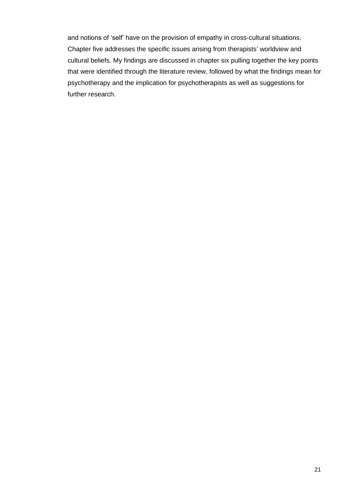and notions of 'self' have on the provision of empathy in cross-cultural situations. Chapter five addresses the specific issues arising from therapists' worldview and cultural beliefs. My findings are discussed in chapter six pulling together the key points that were identified through the literature review, followed by what the findings mean for psychotherapy and the implication for psychotherapists as well as suggestions for further research.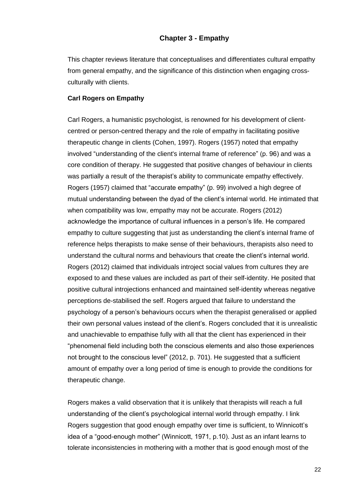## **Chapter 3 - Empathy**

<span id="page-28-0"></span>This chapter reviews literature that conceptualises and differentiates cultural empathy from general empathy, and the significance of this distinction when engaging crossculturally with clients.

#### <span id="page-28-1"></span>**Carl Rogers on Empathy**

Carl Rogers, a humanistic psychologist, is renowned for his development of clientcentred or person-centred therapy and the role of empathy in facilitating positive therapeutic change in clients (Cohen, 1997). Rogers (1957) noted that empathy involved "understanding of the client's internal frame of reference" (p. 96) and was a core condition of therapy. He suggested that positive changes of behaviour in clients was partially a result of the therapist's ability to communicate empathy effectively. Rogers (1957) claimed that "accurate empathy" (p. 99) involved a high degree of mutual understanding between the dyad of the client's internal world. He intimated that when compatibility was low, empathy may not be accurate. Rogers (2012) acknowledge the importance of cultural influences in a person's life. He compared empathy to culture suggesting that just as understanding the client's internal frame of reference helps therapists to make sense of their behaviours, therapists also need to understand the cultural norms and behaviours that create the client's internal world. Rogers (2012) claimed that individuals introject social values from cultures they are exposed to and these values are included as part of their self-identity. He posited that positive cultural introjections enhanced and maintained self-identity whereas negative perceptions de-stabilised the self. Rogers argued that failure to understand the psychology of a person's behaviours occurs when the therapist generalised or applied their own personal values instead of the client's. Rogers concluded that it is unrealistic and unachievable to empathise fully with all that the client has experienced in their "phenomenal field including both the conscious elements and also those experiences not brought to the conscious level" (2012, p. 701). He suggested that a sufficient amount of empathy over a long period of time is enough to provide the conditions for therapeutic change.

Rogers makes a valid observation that it is unlikely that therapists will reach a full understanding of the client's psychological internal world through empathy. I link Rogers suggestion that good enough empathy over time is sufficient, to Winnicott's idea of a "good-enough mother" (Winnicott, 1971, p.10). Just as an infant learns to tolerate inconsistencies in mothering with a mother that is good enough most of the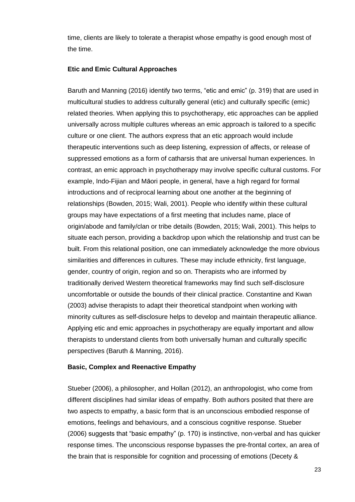time, clients are likely to tolerate a therapist whose empathy is good enough most of the time.

## <span id="page-29-0"></span>**Etic and Emic Cultural Approaches**

Baruth and Manning (2016) identify two terms, "etic and emic" (p. 319) that are used in multicultural studies to address culturally general (etic) and culturally specific (emic) related theories. When applying this to psychotherapy, etic approaches can be applied universally across multiple cultures whereas an emic approach is tailored to a specific culture or one client. The authors express that an etic approach would include therapeutic interventions such as deep listening, expression of affects, or release of suppressed emotions as a form of catharsis that are universal human experiences. In contrast, an emic approach in psychotherapy may involve specific cultural customs. For example, Indo-Fijian and Māori people, in general, have a high regard for formal introductions and of reciprocal learning about one another at the beginning of relationships (Bowden, 2015; Wali, 2001). People who identify within these cultural groups may have expectations of a first meeting that includes name, place of origin/abode and family/clan or tribe details (Bowden, 2015; Wali, 2001). This helps to situate each person, providing a backdrop upon which the relationship and trust can be built. From this relational position, one can immediately acknowledge the more obvious similarities and differences in cultures. These may include ethnicity, first language, gender, country of origin, region and so on. Therapists who are informed by traditionally derived Western theoretical frameworks may find such self-disclosure uncomfortable or outside the bounds of their clinical practice. Constantine and Kwan (2003) advise therapists to adapt their theoretical standpoint when working with minority cultures as self-disclosure helps to develop and maintain therapeutic alliance. Applying etic and emic approaches in psychotherapy are equally important and allow therapists to understand clients from both universally human and culturally specific perspectives (Baruth & Manning, 2016).

#### <span id="page-29-1"></span>**Basic, Complex and Reenactive Empathy**

Stueber (2006), a philosopher, and Hollan (2012), an anthropologist, who come from different disciplines had similar ideas of empathy. Both authors posited that there are two aspects to empathy, a basic form that is an unconscious embodied response of emotions, feelings and behaviours, and a conscious cognitive response. Stueber (2006) suggests that "basic empathy" (p. 170) is instinctive, non-verbal and has quicker response times. The unconscious response bypasses the pre-frontal cortex, an area of the brain that is responsible for cognition and processing of emotions (Decety &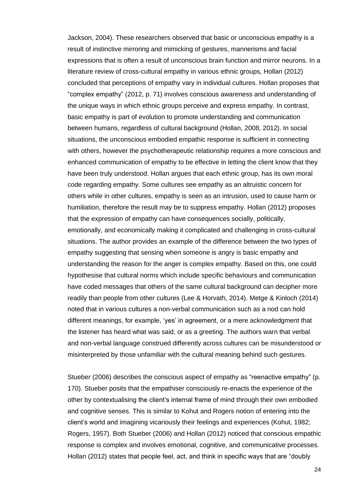Jackson, 2004). These researchers observed that basic or unconscious empathy is a result of instinctive mirroring and mimicking of gestures, mannerisms and facial expressions that is often a result of unconscious brain function and mirror neurons. In a literature review of cross-cultural empathy in various ethnic groups, Hollan (2012) concluded that perceptions of empathy vary in individual cultures. Hollan proposes that "complex empathy" (2012, p. 71) involves conscious awareness and understanding of the unique ways in which ethnic groups perceive and express empathy. In contrast, basic empathy is part of evolution to promote understanding and communication between humans, regardless of cultural background (Hollan, 2008, 2012). In social situations, the unconscious embodied empathic response is sufficient in connecting with others, however the psychotherapeutic relationship requires a more conscious and enhanced communication of empathy to be effective in letting the client know that they have been truly understood. Hollan argues that each ethnic group, has its own moral code regarding empathy. Some cultures see empathy as an altruistic concern for others while in other cultures, empathy is seen as an intrusion, used to cause harm or humiliation, therefore the result may be to suppress empathy. Hollan (2012) proposes that the expression of empathy can have consequences socially, politically, emotionally, and economically making it complicated and challenging in cross-cultural situations. The author provides an example of the difference between the two types of empathy suggesting that sensing when someone is angry is basic empathy and understanding the reason for the anger is complex empathy. Based on this, one could hypothesise that cultural norms which include specific behaviours and communication have coded messages that others of the same cultural background can decipher more readily than people from other cultures (Lee & Horvath, 2014). Metge & Kinloch (2014) noted that in various cultures a non-verbal communication such as a nod can hold different meanings, for example, 'yes' in agreement, or a mere acknowledgment that the listener has heard what was said, or as a greeting. The authors warn that verbal and non-verbal language construed differently across cultures can be misunderstood or misinterpreted by those unfamiliar with the cultural meaning behind such gestures.

Stueber (2006) describes the conscious aspect of empathy as "reenactive empathy" (p. 170). Stueber posits that the empathiser consciously re-enacts the experience of the other by contextualising the client's internal frame of mind through their own embodied and cognitive senses. This is similar to Kohut and Rogers notion of entering into the client's world and imagining vicariously their feelings and experiences (Kohut, 1982; Rogers, 1957). Both Stueber (2006) and Hollan (2012) noticed that conscious empathic response is complex and involves emotional, cognitive, and communicative processes. Hollan (2012) states that people feel, act, and think in specific ways that are "doubly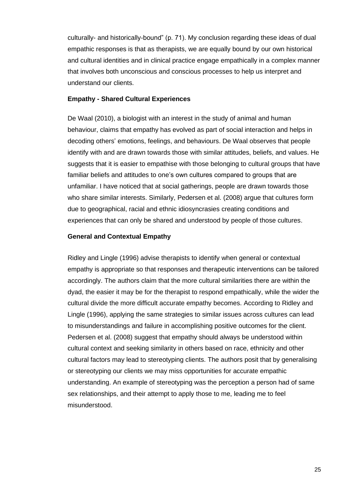culturally- and historically-bound" (p. 71). My conclusion regarding these ideas of dual empathic responses is that as therapists, we are equally bound by our own historical and cultural identities and in clinical practice engage empathically in a complex manner that involves both unconscious and conscious processes to help us interpret and understand our clients.

#### <span id="page-31-0"></span>**Empathy - Shared Cultural Experiences**

De Waal (2010), a biologist with an interest in the study of animal and human behaviour, claims that empathy has evolved as part of social interaction and helps in decoding others' emotions, feelings, and behaviours. De Waal observes that people identify with and are drawn towards those with similar attitudes, beliefs, and values. He suggests that it is easier to empathise with those belonging to cultural groups that have familiar beliefs and attitudes to one's own cultures compared to groups that are unfamiliar. I have noticed that at social gatherings, people are drawn towards those who share similar interests. Similarly, Pedersen et al. (2008) argue that cultures form due to geographical, racial and ethnic idiosyncrasies creating conditions and experiences that can only be shared and understood by people of those cultures.

#### <span id="page-31-1"></span>**General and Contextual Empathy**

Ridley and Lingle (1996) advise therapists to identify when general or contextual empathy is appropriate so that responses and therapeutic interventions can be tailored accordingly. The authors claim that the more cultural similarities there are within the dyad, the easier it may be for the therapist to respond empathically, while the wider the cultural divide the more difficult accurate empathy becomes. According to Ridley and Lingle (1996), applying the same strategies to similar issues across cultures can lead to misunderstandings and failure in accomplishing positive outcomes for the client. Pedersen et al. (2008) suggest that empathy should always be understood within cultural context and seeking similarity in others based on race, ethnicity and other cultural factors may lead to stereotyping clients. The authors posit that by generalising or stereotyping our clients we may miss opportunities for accurate empathic understanding. An example of stereotyping was the perception a person had of same sex relationships, and their attempt to apply those to me, leading me to feel misunderstood.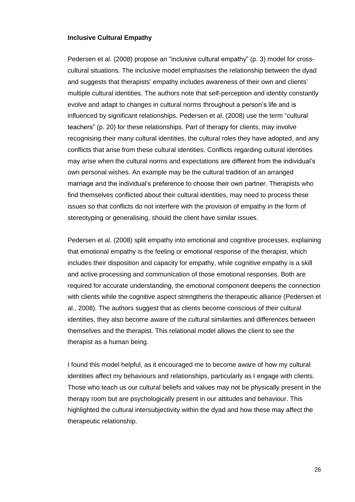## <span id="page-32-0"></span>**Inclusive Cultural Empathy**

Pedersen et al. (2008) propose an "inclusive cultural empathy" (p. 3) model for crosscultural situations. The inclusive model emphasises the relationship between the dyad and suggests that therapists' empathy includes awareness of their own and clients' multiple cultural identities. The authors note that self-perception and identity constantly evolve and adapt to changes in cultural norms throughout a person's life and is influenced by significant relationships. Pedersen et al. (2008) use the term "cultural teachers" (p. 20) for these relationships. Part of therapy for clients, may involve recognising their many cultural identities, the cultural roles they have adopted, and any conflicts that arise from these cultural identities. Conflicts regarding cultural identities may arise when the cultural norms and expectations are different from the individual's own personal wishes. An example may be the cultural tradition of an arranged marriage and the individual's preference to choose their own partner. Therapists who find themselves conflicted about their cultural identities, may need to process these issues so that conflicts do not interfere with the provision of empathy in the form of stereotyping or generalising, should the client have similar issues.

Pedersen et al. (2008) split empathy into emotional and cognitive processes, explaining that emotional empathy is the feeling or emotional response of the therapist, which includes their disposition and capacity for empathy, while cognitive empathy is a skill and active processing and communication of those emotional responses. Both are required for accurate understanding, the emotional component deepens the connection with clients while the cognitive aspect strengthens the therapeutic alliance (Pedersen et al., 2008). The authors suggest that as clients become conscious of their cultural identities, they also become aware of the cultural similarities and differences between themselves and the therapist. This relational model allows the client to see the therapist as a human being.

I found this model helpful, as it encouraged me to become aware of how my cultural identities affect my behaviours and relationships, particularly as I engage with clients. Those who teach us our cultural beliefs and values may not be physically present in the therapy room but are psychologically present in our attitudes and behaviour. This highlighted the cultural intersubjectivity within the dyad and how these may affect the therapeutic relationship.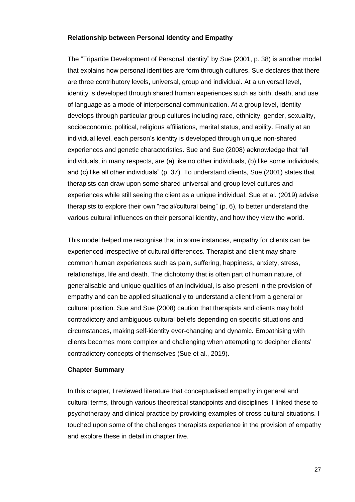## <span id="page-33-0"></span>**Relationship between Personal Identity and Empathy**

The "Tripartite Development of Personal Identity" by Sue (2001, p. 38) is another model that explains how personal identities are form through cultures. Sue declares that there are three contributory levels, universal, group and individual. At a universal level, identity is developed through shared human experiences such as birth, death, and use of language as a mode of interpersonal communication. At a group level, identity develops through particular group cultures including race, ethnicity, gender, sexuality, socioeconomic, political, religious affiliations, marital status, and ability. Finally at an individual level, each person's identity is developed through unique non-shared experiences and genetic characteristics. Sue and Sue (2008) acknowledge that "all individuals, in many respects, are (a) like no other individuals, (b) like some individuals, and (c) like all other individuals" (p. 37). To understand clients, Sue (2001) states that therapists can draw upon some shared universal and group level cultures and experiences while still seeing the client as a unique individual. Sue et al. (2019) advise therapists to explore their own "racial/cultural being" (p. 6), to better understand the various cultural influences on their personal identity, and how they view the world.

This model helped me recognise that in some instances, empathy for clients can be experienced irrespective of cultural differences. Therapist and client may share common human experiences such as pain, suffering, happiness, anxiety, stress, relationships, life and death. The dichotomy that is often part of human nature, of generalisable and unique qualities of an individual, is also present in the provision of empathy and can be applied situationally to understand a client from a general or cultural position. Sue and Sue (2008) caution that therapists and clients may hold contradictory and ambiguous cultural beliefs depending on specific situations and circumstances, making self-identity ever-changing and dynamic. Empathising with clients becomes more complex and challenging when attempting to decipher clients' contradictory concepts of themselves (Sue et al., 2019).

#### <span id="page-33-1"></span>**Chapter Summary**

In this chapter, I reviewed literature that conceptualised empathy in general and cultural terms, through various theoretical standpoints and disciplines. I linked these to psychotherapy and clinical practice by providing examples of cross-cultural situations. I touched upon some of the challenges therapists experience in the provision of empathy and explore these in detail in chapter five.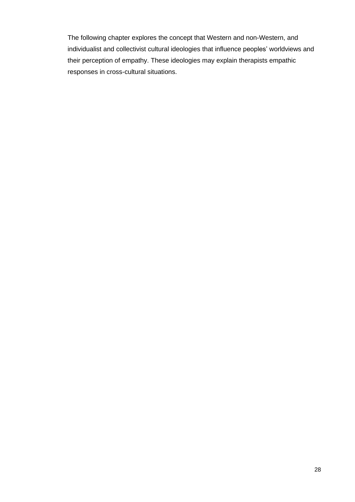The following chapter explores the concept that Western and non-Western, and individualist and collectivist cultural ideologies that influence peoples' worldviews and their perception of empathy. These ideologies may explain therapists empathic responses in cross-cultural situations.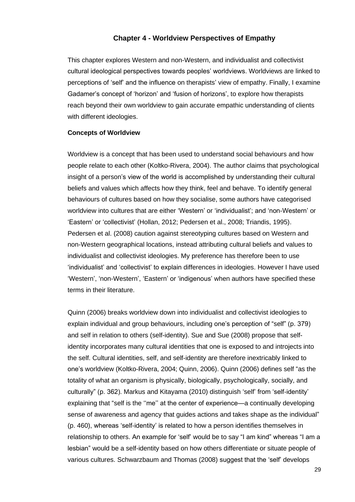## **Chapter 4 - Worldview Perspectives of Empathy**

<span id="page-35-0"></span>This chapter explores Western and non-Western, and individualist and collectivist cultural ideological perspectives towards peoples' worldviews. Worldviews are linked to perceptions of 'self' and the influence on therapists' view of empathy. Finally, I examine Gadamer's concept of 'horizon' and 'fusion of horizons', to explore how therapists reach beyond their own worldview to gain accurate empathic understanding of clients with different ideologies.

#### <span id="page-35-1"></span>**Concepts of Worldview**

Worldview is a concept that has been used to understand social behaviours and how people relate to each other (Koltko-Rivera, 2004). The author claims that psychological insight of a person's view of the world is accomplished by understanding their cultural beliefs and values which affects how they think, feel and behave. To identify general behaviours of cultures based on how they socialise, some authors have categorised worldview into cultures that are either 'Western' or 'individualist'; and 'non-Western' or 'Eastern' or 'collectivist' (Hollan, 2012; Pedersen et al., 2008; Triandis, 1995). Pedersen et al. (2008) caution against stereotyping cultures based on Western and non-Western geographical locations, instead attributing cultural beliefs and values to individualist and collectivist ideologies. My preference has therefore been to use 'individualist' and 'collectivist' to explain differences in ideologies. However I have used 'Western', 'non-Western', 'Eastern' or 'indigenous' when authors have specified these terms in their literature.

Quinn (2006) breaks worldview down into individualist and collectivist ideologies to explain individual and group behaviours, including one's perception of "self" (p. 379) and self in relation to others (self-identity). Sue and Sue (2008) propose that selfidentity incorporates many cultural identities that one is exposed to and introjects into the self. Cultural identities, self, and self-identity are therefore inextricably linked to one's worldview (Koltko-Rivera, 2004; Quinn, 2006). Quinn (2006) defines self "as the totality of what an organism is physically, biologically, psychologically, socially, and culturally" (p. 362). Markus and Kitayama (2010) distinguish 'self' from 'self-identity' explaining that "self is the ''me'' at the center of experience—a continually developing sense of awareness and agency that guides actions and takes shape as the individual" (p. 460), whereas 'self-identity' is related to how a person identifies themselves in relationship to others. An example for 'self' would be to say "I am kind" whereas "I am a lesbian" would be a self-identity based on how others differentiate or situate people of various cultures. Schwarzbaum and Thomas (2008) suggest that the 'self' develops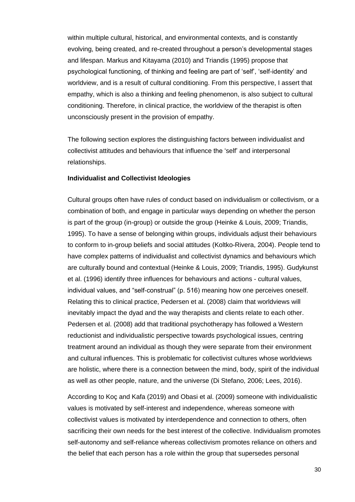within multiple cultural, historical, and environmental contexts, and is constantly evolving, being created, and re-created throughout a person's developmental stages and lifespan. Markus and Kitayama (2010) and Triandis (1995) propose that psychological functioning, of thinking and feeling are part of 'self', 'self-identity' and worldview, and is a result of cultural conditioning. From this perspective, I assert that empathy, which is also a thinking and feeling phenomenon, is also subject to cultural conditioning. Therefore, in clinical practice, the worldview of the therapist is often unconsciously present in the provision of empathy.

The following section explores the distinguishing factors between individualist and collectivist attitudes and behaviours that influence the 'self' and interpersonal relationships.

#### <span id="page-36-0"></span>**Individualist and Collectivist Ideologies**

Cultural groups often have rules of conduct based on individualism or collectivism, or a combination of both, and engage in particular ways depending on whether the person is part of the group (in-group) or outside the group (Heinke & Louis, 2009; Triandis, 1995). To have a sense of belonging within groups, individuals adjust their behaviours to conform to in-group beliefs and social attitudes (Koltko-Rivera, 2004). People tend to have complex patterns of individualist and collectivist dynamics and behaviours which are culturally bound and contextual (Heinke & Louis, 2009; Triandis, 1995). Gudykunst et al. (1996) identify three influences for behaviours and actions - cultural values, individual values, and "self-construal" (p. 516) meaning how one perceives oneself. Relating this to clinical practice, Pedersen et al. (2008) claim that worldviews will inevitably impact the dyad and the way therapists and clients relate to each other. Pedersen et al. (2008) add that traditional psychotherapy has followed a Western reductionist and individualistic perspective towards psychological issues, centring treatment around an individual as though they were separate from their environment and cultural influences. This is problematic for collectivist cultures whose worldviews are holistic, where there is a connection between the mind, body, spirit of the individual as well as other people, nature, and the universe (Di Stefano, 2006; Lees, 2016).

According to Koç and Kafa (2019) and Obasi et al. (2009) someone with individualistic values is motivated by self-interest and independence, whereas someone with collectivist values is motivated by interdependence and connection to others, often sacrificing their own needs for the best interest of the collective. Individualism promotes self-autonomy and self-reliance whereas collectivism promotes reliance on others and the belief that each person has a role within the group that supersedes personal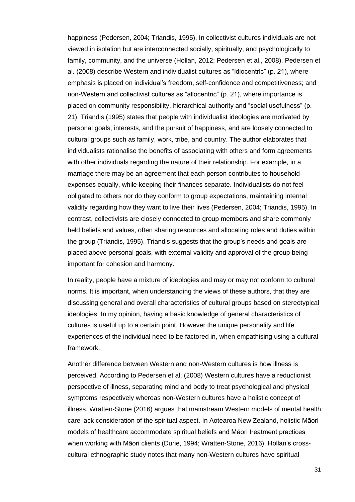happiness (Pedersen, 2004; Triandis, 1995). In collectivist cultures individuals are not viewed in isolation but are interconnected socially, spiritually, and psychologically to family, community, and the universe (Hollan, 2012; Pedersen et al., 2008). Pedersen et al. (2008) describe Western and individualist cultures as "idiocentric" (p. 21), where emphasis is placed on individual's freedom, self-confidence and competitiveness; and non-Western and collectivist cultures as "allocentric" (p. 21), where importance is placed on community responsibility, hierarchical authority and "social usefulness" (p. 21). Triandis (1995) states that people with individualist ideologies are motivated by personal goals, interests, and the pursuit of happiness, and are loosely connected to cultural groups such as family, work, tribe, and country. The author elaborates that individualists rationalise the benefits of associating with others and form agreements with other individuals regarding the nature of their relationship. For example, in a marriage there may be an agreement that each person contributes to household expenses equally, while keeping their finances separate. Individualists do not feel obligated to others nor do they conform to group expectations, maintaining internal validity regarding how they want to live their lives (Pedersen, 2004; Triandis, 1995). In contrast, collectivists are closely connected to group members and share commonly held beliefs and values, often sharing resources and allocating roles and duties within the group (Triandis, 1995). Triandis suggests that the group's needs and goals are placed above personal goals, with external validity and approval of the group being important for cohesion and harmony.

In reality, people have a mixture of ideologies and may or may not conform to cultural norms. It is important, when understanding the views of these authors, that they are discussing general and overall characteristics of cultural groups based on stereotypical ideologies. In my opinion, having a basic knowledge of general characteristics of cultures is useful up to a certain point. However the unique personality and life experiences of the individual need to be factored in, when empathising using a cultural framework.

Another difference between Western and non-Western cultures is how illness is perceived. According to Pedersen et al. (2008) Western cultures have a reductionist perspective of illness, separating mind and body to treat psychological and physical symptoms respectively whereas non-Western cultures have a holistic concept of illness. Wratten-Stone (2016) argues that mainstream Western models of mental health care lack consideration of the spiritual aspect. In Aotearoa New Zealand, holistic Māori models of healthcare accommodate spiritual beliefs and Māori treatment practices when working with Māori clients (Durie, 1994; Wratten-Stone, 2016). Hollan's crosscultural ethnographic study notes that many non-Western cultures have spiritual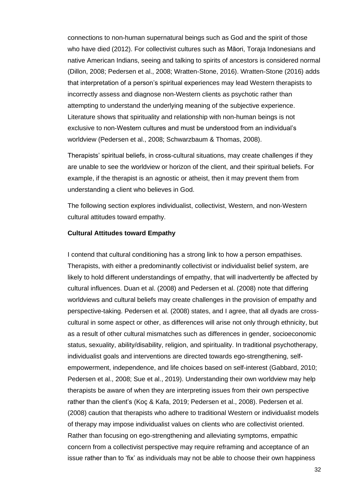connections to non-human supernatural beings such as God and the spirit of those who have died (2012). For collectivist cultures such as Māori, Toraja Indonesians and native American Indians, seeing and talking to spirits of ancestors is considered normal (Dillon, 2008; Pedersen et al., 2008; Wratten-Stone, 2016). Wratten-Stone (2016) adds that interpretation of a person's spiritual experiences may lead Western therapists to incorrectly assess and diagnose non-Western clients as psychotic rather than attempting to understand the underlying meaning of the subjective experience. Literature shows that spirituality and relationship with non-human beings is not exclusive to non-Western cultures and must be understood from an individual's worldview (Pedersen et al., 2008; Schwarzbaum & Thomas, 2008).

Therapists' spiritual beliefs, in cross-cultural situations, may create challenges if they are unable to see the worldview or horizon of the client, and their spiritual beliefs. For example, if the therapist is an agnostic or atheist, then it may prevent them from understanding a client who believes in God.

The following section explores individualist, collectivist, Western, and non-Western cultural attitudes toward empathy.

## <span id="page-38-0"></span>**Cultural Attitudes toward Empathy**

I contend that cultural conditioning has a strong link to how a person empathises. Therapists, with either a predominantly collectivist or individualist belief system, are likely to hold different understandings of empathy, that will inadvertently be affected by cultural influences. Duan et al. (2008) and Pedersen et al. (2008) note that differing worldviews and cultural beliefs may create challenges in the provision of empathy and perspective-taking. Pedersen et al. (2008) states, and I agree, that all dyads are crosscultural in some aspect or other, as differences will arise not only through ethnicity, but as a result of other cultural mismatches such as differences in gender, socioeconomic status, sexuality, ability/disability, religion, and spirituality. In traditional psychotherapy, individualist goals and interventions are directed towards ego-strengthening, selfempowerment, independence, and life choices based on self-interest (Gabbard, 2010; Pedersen et al., 2008; Sue et al., 2019). Understanding their own worldview may help therapists be aware of when they are interpreting issues from their own perspective rather than the client's (Koç & Kafa, 2019; Pedersen et al., 2008). Pedersen et al. (2008) caution that therapists who adhere to traditional Western or individualist models of therapy may impose individualist values on clients who are collectivist oriented. Rather than focusing on ego-strengthening and alleviating symptoms, empathic concern from a collectivist perspective may require reframing and acceptance of an issue rather than to 'fix' as individuals may not be able to choose their own happiness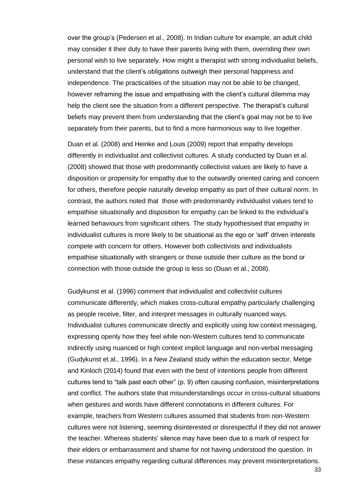over the group's (Pedersen et al., 2008). In Indian culture for example, an adult child may consider it their duty to have their parents living with them, overriding their own personal wish to live separately. How might a therapist with strong individualist beliefs, understand that the client's obligations outweigh their personal happiness and independence. The practicalities of the situation may not be able to be changed, however reframing the issue and empathising with the client's cultural dilemma may help the client see the situation from a different perspective. The therapist's cultural beliefs may prevent them from understanding that the client's goal may not be to live separately from their parents, but to find a more harmonious way to live together.

Duan et al. (2008) and Heinke and Louis (2009) report that empathy develops differently in individualist and collectivist cultures. A study conducted by Duan et al. (2008) showed that those with predominantly collectivist values are likely to have a disposition or propensity for empathy due to the outwardly oriented caring and concern for others, therefore people naturally develop empathy as part of their cultural norm. In contrast, the authors noted that those with predominantly individualist values tend to empathise situationally and disposition for empathy can be linked to the individual's learned behaviours from significant others. The study hypothesised that empathy in individualist cultures is more likely to be situational as the ego or 'self' driven interests compete with concern for others. However both collectivists and individualists empathise situationally with strangers or those outside their culture as the bond or connection with those outside the group is less so (Duan et al., 2008).

Gudykunst et al. (1996) comment that individualist and collectivist cultures communicate differently, which makes cross-cultural empathy particularly challenging as people receive, filter, and interpret messages in culturally nuanced ways. Individualist cultures communicate directly and explicitly using low context messaging, expressing openly how they feel while non-Western cultures tend to communicate indirectly using nuanced or high context implicit language and non-verbal messaging (Gudykunst et al., 1996). In a New Zealand study within the education sector, Metge and Kinloch (2014) found that even with the best of intentions people from different cultures tend to "talk past each other" (p. 9) often causing confusion, misinterpretations and conflict. The authors state that misunderstandings occur in cross-cultural situations when gestures and words have different connotations in different cultures. For example, teachers from Western cultures assumed that students from non-Western cultures were not listening, seeming disinterested or disrespectful if they did not answer the teacher. Whereas students' silence may have been due to a mark of respect for their elders or embarrassment and shame for not having understood the question. In these instances empathy regarding cultural differences may prevent misinterpretations.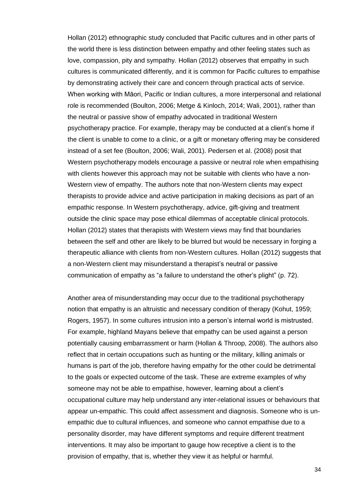Hollan (2012) ethnographic study concluded that Pacific cultures and in other parts of the world there is less distinction between empathy and other feeling states such as love, compassion, pity and sympathy. Hollan (2012) observes that empathy in such cultures is communicated differently, and it is common for Pacific cultures to empathise by demonstrating actively their care and concern through practical acts of service. When working with Māori, Pacific or Indian cultures, a more interpersonal and relational role is recommended (Boulton, 2006; Metge & Kinloch, 2014; Wali, 2001), rather than the neutral or passive show of empathy advocated in traditional Western psychotherapy practice. For example, therapy may be conducted at a client's home if the client is unable to come to a clinic, or a gift or monetary offering may be considered instead of a set fee (Boulton, 2006; Wali, 2001). Pedersen et al. (2008) posit that Western psychotherapy models encourage a passive or neutral role when empathising with clients however this approach may not be suitable with clients who have a non-Western view of empathy. The authors note that non-Western clients may expect therapists to provide advice and active participation in making decisions as part of an empathic response. In Western psychotherapy, advice, gift-giving and treatment outside the clinic space may pose ethical dilemmas of acceptable clinical protocols. Hollan (2012) states that therapists with Western views may find that boundaries between the self and other are likely to be blurred but would be necessary in forging a therapeutic alliance with clients from non-Western cultures. Hollan (2012) suggests that a non-Western client may misunderstand a therapist's neutral or passive communication of empathy as "a failure to understand the other's plight" (p. 72).

Another area of misunderstanding may occur due to the traditional psychotherapy notion that empathy is an altruistic and necessary condition of therapy (Kohut, 1959; Rogers, 1957). In some cultures intrusion into a person's internal world is mistrusted. For example, highland Mayans believe that empathy can be used against a person potentially causing embarrassment or harm (Hollan & Throop, 2008). The authors also reflect that in certain occupations such as hunting or the military, killing animals or humans is part of the job, therefore having empathy for the other could be detrimental to the goals or expected outcome of the task. These are extreme examples of why someone may not be able to empathise, however, learning about a client's occupational culture may help understand any inter-relational issues or behaviours that appear un-empathic. This could affect assessment and diagnosis. Someone who is unempathic due to cultural influences, and someone who cannot empathise due to a personality disorder, may have different symptoms and require different treatment interventions. It may also be important to gauge how receptive a client is to the provision of empathy, that is, whether they view it as helpful or harmful.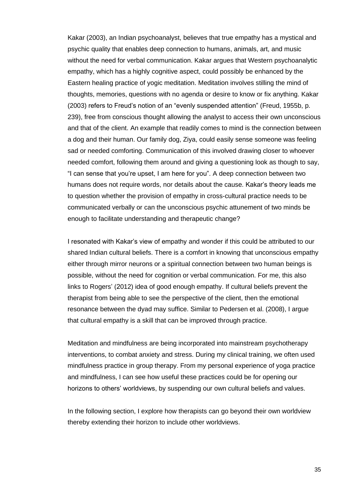Kakar (2003), an Indian psychoanalyst, believes that true empathy has a mystical and psychic quality that enables deep connection to humans, animals, art, and music without the need for verbal communication. Kakar argues that Western psychoanalytic empathy, which has a highly cognitive aspect, could possibly be enhanced by the Eastern healing practice of yogic meditation. Meditation involves stilling the mind of thoughts, memories, questions with no agenda or desire to know or fix anything. Kakar (2003) refers to Freud's notion of an "evenly suspended attention" (Freud, 1955b, p. 239), free from conscious thought allowing the analyst to access their own unconscious and that of the client. An example that readily comes to mind is the connection between a dog and their human. Our family dog, Ziya, could easily sense someone was feeling sad or needed comforting. Communication of this involved drawing closer to whoever needed comfort, following them around and giving a questioning look as though to say, "I can sense that you're upset, I am here for you". A deep connection between two humans does not require words, nor details about the cause. Kakar's theory leads me to question whether the provision of empathy in cross-cultural practice needs to be communicated verbally or can the unconscious psychic attunement of two minds be enough to facilitate understanding and therapeutic change?

I resonated with Kakar's view of empathy and wonder if this could be attributed to our shared Indian cultural beliefs. There is a comfort in knowing that unconscious empathy either through mirror neurons or a spiritual connection between two human beings is possible, without the need for cognition or verbal communication. For me, this also links to Rogers' (2012) idea of good enough empathy. If cultural beliefs prevent the therapist from being able to see the perspective of the client, then the emotional resonance between the dyad may suffice. Similar to Pedersen et al. (2008), I argue that cultural empathy is a skill that can be improved through practice.

Meditation and mindfulness are being incorporated into mainstream psychotherapy interventions, to combat anxiety and stress. During my clinical training, we often used mindfulness practice in group therapy. From my personal experience of yoga practice and mindfulness, I can see how useful these practices could be for opening our horizons to others' worldviews, by suspending our own cultural beliefs and values.

In the following section, I explore how therapists can go beyond their own worldview thereby extending their horizon to include other worldviews.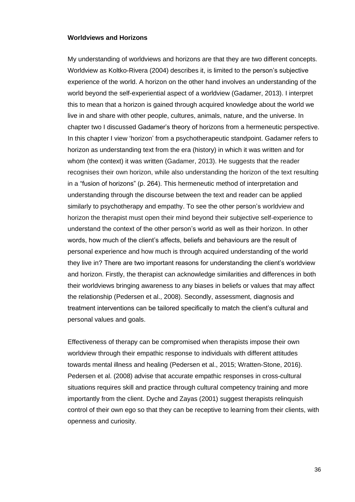#### <span id="page-42-0"></span>**Worldviews and Horizons**

My understanding of worldviews and horizons are that they are two different concepts. Worldview as Koltko-Rivera (2004) describes it, is limited to the person's subjective experience of the world. A horizon on the other hand involves an understanding of the world beyond the self-experiential aspect of a worldview (Gadamer, 2013). I interpret this to mean that a horizon is gained through acquired knowledge about the world we live in and share with other people, cultures, animals, nature, and the universe. In chapter two I discussed Gadamer's theory of horizons from a hermeneutic perspective. In this chapter I view 'horizon' from a psychotherapeutic standpoint. Gadamer refers to horizon as understanding text from the era (history) in which it was written and for whom (the context) it was written (Gadamer, 2013). He suggests that the reader recognises their own horizon, while also understanding the horizon of the text resulting in a "fusion of horizons" (p. 264). This hermeneutic method of interpretation and understanding through the discourse between the text and reader can be applied similarly to psychotherapy and empathy. To see the other person's worldview and horizon the therapist must open their mind beyond their subjective self-experience to understand the context of the other person's world as well as their horizon. In other words, how much of the client's affects, beliefs and behaviours are the result of personal experience and how much is through acquired understanding of the world they live in? There are two important reasons for understanding the client's worldview and horizon. Firstly, the therapist can acknowledge similarities and differences in both their worldviews bringing awareness to any biases in beliefs or values that may affect the relationship (Pedersen et al., 2008). Secondly, assessment, diagnosis and treatment interventions can be tailored specifically to match the client's cultural and personal values and goals.

Effectiveness of therapy can be compromised when therapists impose their own worldview through their empathic response to individuals with different attitudes towards mental illness and healing (Pedersen et al., 2015; Wratten-Stone, 2016). Pedersen et al. (2008) advise that accurate empathic responses in cross-cultural situations requires skill and practice through cultural competency training and more importantly from the client. Dyche and Zayas (2001) suggest therapists relinquish control of their own ego so that they can be receptive to learning from their clients, with openness and curiosity.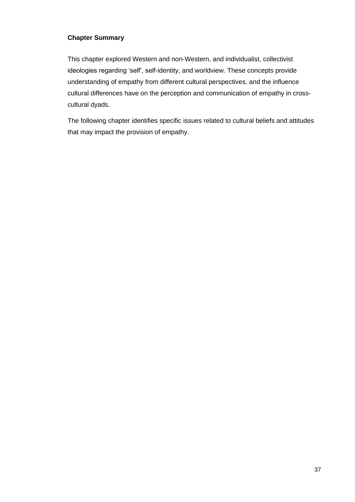## <span id="page-43-0"></span>**Chapter Summary**

This chapter explored Western and non-Western, and individualist, collectivist ideologies regarding 'self', self-identity, and worldview. These concepts provide understanding of empathy from different cultural perspectives, and the influence cultural differences have on the perception and communication of empathy in crosscultural dyads.

The following chapter identifies specific issues related to cultural beliefs and attitudes that may impact the provision of empathy.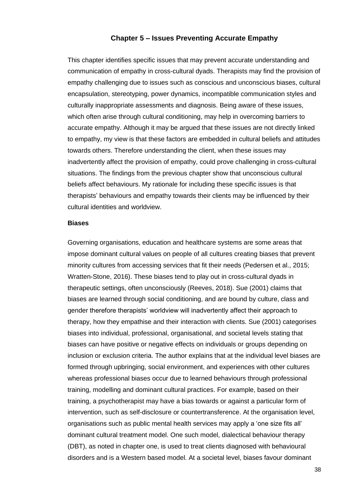## **Chapter 5 – Issues Preventing Accurate Empathy**

<span id="page-44-0"></span>This chapter identifies specific issues that may prevent accurate understanding and communication of empathy in cross-cultural dyads. Therapists may find the provision of empathy challenging due to issues such as conscious and unconscious biases, cultural encapsulation, stereotyping, power dynamics, incompatible communication styles and culturally inappropriate assessments and diagnosis. Being aware of these issues, which often arise through cultural conditioning, may help in overcoming barriers to accurate empathy. Although it may be argued that these issues are not directly linked to empathy, my view is that these factors are embedded in cultural beliefs and attitudes towards others. Therefore understanding the client, when these issues may inadvertently affect the provision of empathy, could prove challenging in cross-cultural situations. The findings from the previous chapter show that unconscious cultural beliefs affect behaviours. My rationale for including these specific issues is that therapists' behaviours and empathy towards their clients may be influenced by their cultural identities and worldview.

#### <span id="page-44-1"></span>**Biases**

Governing organisations, education and healthcare systems are some areas that impose dominant cultural values on people of all cultures creating biases that prevent minority cultures from accessing services that fit their needs (Pedersen et al., 2015; Wratten-Stone, 2016). These biases tend to play out in cross-cultural dyads in therapeutic settings, often unconsciously (Reeves, 2018). Sue (2001) claims that biases are learned through social conditioning, and are bound by culture, class and gender therefore therapists' worldview will inadvertently affect their approach to therapy, how they empathise and their interaction with clients. Sue (2001) categorises biases into individual, professional, organisational, and societal levels stating that biases can have positive or negative effects on individuals or groups depending on inclusion or exclusion criteria. The author explains that at the individual level biases are formed through upbringing, social environment, and experiences with other cultures whereas professional biases occur due to learned behaviours through professional training, modelling and dominant cultural practices. For example, based on their training, a psychotherapist may have a bias towards or against a particular form of intervention, such as self-disclosure or countertransference. At the organisation level, organisations such as public mental health services may apply a 'one size fits all' dominant cultural treatment model. One such model, dialectical behaviour therapy (DBT), as noted in chapter one, is used to treat clients diagnosed with behavioural disorders and is a Western based model. At a societal level, biases favour dominant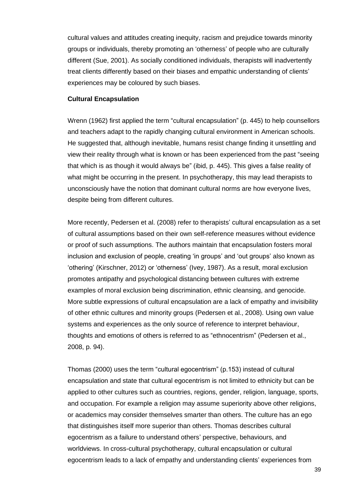cultural values and attitudes creating inequity, racism and prejudice towards minority groups or individuals, thereby promoting an 'otherness' of people who are culturally different (Sue, 2001). As socially conditioned individuals, therapists will inadvertently treat clients differently based on their biases and empathic understanding of clients' experiences may be coloured by such biases.

#### <span id="page-45-0"></span>**Cultural Encapsulation**

Wrenn (1962) first applied the term "cultural encapsulation" (p. 445) to help counsellors and teachers adapt to the rapidly changing cultural environment in American schools. He suggested that, although inevitable, humans resist change finding it unsettling and view their reality through what is known or has been experienced from the past "seeing that which is as though it would always be" (ibid, p. 445). This gives a false reality of what might be occurring in the present. In psychotherapy, this may lead therapists to unconsciously have the notion that dominant cultural norms are how everyone lives, despite being from different cultures.

More recently, Pedersen et al. (2008) refer to therapists' cultural encapsulation as a set of cultural assumptions based on their own self-reference measures without evidence or proof of such assumptions. The authors maintain that encapsulation fosters moral inclusion and exclusion of people, creating 'in groups' and 'out groups' also known as 'othering' (Kirschner, 2012) or 'otherness' (Ivey, 1987). As a result, moral exclusion promotes antipathy and psychological distancing between cultures with extreme examples of moral exclusion being discrimination, ethnic cleansing, and genocide. More subtle expressions of cultural encapsulation are a lack of empathy and invisibility of other ethnic cultures and minority groups (Pedersen et al., 2008). Using own value systems and experiences as the only source of reference to interpret behaviour, thoughts and emotions of others is referred to as "ethnocentrism" (Pedersen et al., 2008, p. 94).

Thomas (2000) uses the term "cultural egocentrism" (p.153) instead of cultural encapsulation and state that cultural egocentrism is not limited to ethnicity but can be applied to other cultures such as countries, regions, gender, religion, language, sports, and occupation. For example a religion may assume superiority above other religions, or academics may consider themselves smarter than others. The culture has an ego that distinguishes itself more superior than others. Thomas describes cultural egocentrism as a failure to understand others' perspective, behaviours, and worldviews. In cross-cultural psychotherapy, cultural encapsulation or cultural egocentrism leads to a lack of empathy and understanding clients' experiences from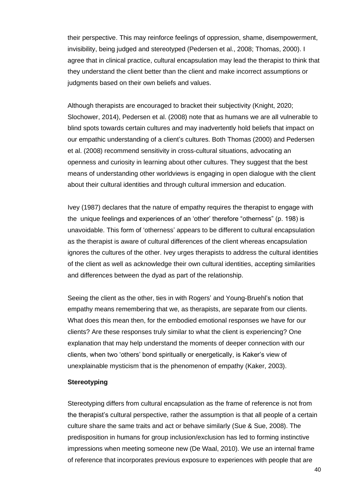their perspective. This may reinforce feelings of oppression, shame, disempowerment, invisibility, being judged and stereotyped (Pedersen et al., 2008; Thomas, 2000). I agree that in clinical practice, cultural encapsulation may lead the therapist to think that they understand the client better than the client and make incorrect assumptions or judgments based on their own beliefs and values.

Although therapists are encouraged to bracket their subjectivity (Knight, 2020; Slochower, 2014), Pedersen et al. (2008) note that as humans we are all vulnerable to blind spots towards certain cultures and may inadvertently hold beliefs that impact on our empathic understanding of a client's cultures. Both Thomas (2000) and Pedersen et al. (2008) recommend sensitivity in cross-cultural situations, advocating an openness and curiosity in learning about other cultures. They suggest that the best means of understanding other worldviews is engaging in open dialogue with the client about their cultural identities and through cultural immersion and education.

Ivey (1987) declares that the nature of empathy requires the therapist to engage with the unique feelings and experiences of an 'other' therefore "otherness" (p. 198) is unavoidable. This form of 'otherness' appears to be different to cultural encapsulation as the therapist is aware of cultural differences of the client whereas encapsulation ignores the cultures of the other. Ivey urges therapists to address the cultural identities of the client as well as acknowledge their own cultural identities, accepting similarities and differences between the dyad as part of the relationship.

Seeing the client as the other, ties in with Rogers' and Young-Bruehl's notion that empathy means remembering that we, as therapists, are separate from our clients. What does this mean then, for the embodied emotional responses we have for our clients? Are these responses truly similar to what the client is experiencing? One explanation that may help understand the moments of deeper connection with our clients, when two 'others' bond spiritually or energetically, is Kaker's view of unexplainable mysticism that is the phenomenon of empathy (Kaker, 2003).

#### <span id="page-46-0"></span>**Stereotyping**

Stereotyping differs from cultural encapsulation as the frame of reference is not from the therapist's cultural perspective, rather the assumption is that all people of a certain culture share the same traits and act or behave similarly (Sue & Sue, 2008). The predisposition in humans for group inclusion/exclusion has led to forming instinctive impressions when meeting someone new (De Waal, 2010). We use an internal frame of reference that incorporates previous exposure to experiences with people that are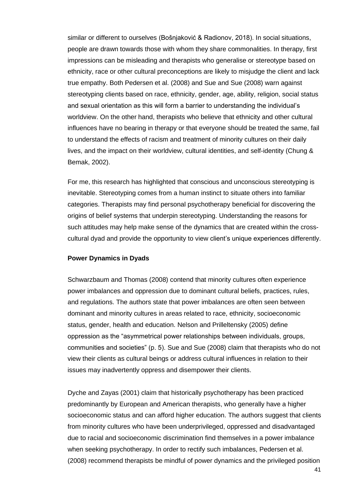similar or different to ourselves (Bošnjaković & Radionov, 2018). In social situations, people are drawn towards those with whom they share commonalities. In therapy, first impressions can be misleading and therapists who generalise or stereotype based on ethnicity, race or other cultural preconceptions are likely to misjudge the client and lack true empathy. Both Pedersen et al. (2008) and Sue and Sue (2008) warn against stereotyping clients based on race, ethnicity, gender, age, ability, religion, social status and sexual orientation as this will form a barrier to understanding the individual's worldview. On the other hand, therapists who believe that ethnicity and other cultural influences have no bearing in therapy or that everyone should be treated the same, fail to understand the effects of racism and treatment of minority cultures on their daily lives, and the impact on their worldview, cultural identities, and self-identity (Chung & Bemak, 2002).

For me, this research has highlighted that conscious and unconscious stereotyping is inevitable. Stereotyping comes from a human instinct to situate others into familiar categories. Therapists may find personal psychotherapy beneficial for discovering the origins of belief systems that underpin stereotyping. Understanding the reasons for such attitudes may help make sense of the dynamics that are created within the crosscultural dyad and provide the opportunity to view client's unique experiences differently.

## <span id="page-47-0"></span>**Power Dynamics in Dyads**

Schwarzbaum and Thomas (2008) contend that minority cultures often experience power imbalances and oppression due to dominant cultural beliefs, practices, rules, and regulations. The authors state that power imbalances are often seen between dominant and minority cultures in areas related to race, ethnicity, socioeconomic status, gender, health and education. Nelson and Prilleltensky (2005) define oppression as the "asymmetrical power relationships between individuals, groups, communities and societies" (p. 5). Sue and Sue (2008) claim that therapists who do not view their clients as cultural beings or address cultural influences in relation to their issues may inadvertently oppress and disempower their clients.

Dyche and Zayas (2001) claim that historically psychotherapy has been practiced predominantly by European and American therapists, who generally have a higher socioeconomic status and can afford higher education. The authors suggest that clients from minority cultures who have been underprivileged, oppressed and disadvantaged due to racial and socioeconomic discrimination find themselves in a power imbalance when seeking psychotherapy. In order to rectify such imbalances, Pedersen et al. (2008) recommend therapists be mindful of power dynamics and the privileged position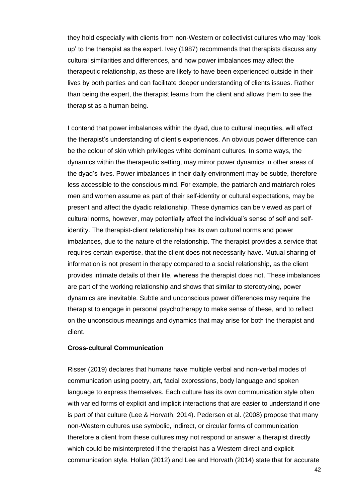they hold especially with clients from non-Western or collectivist cultures who may 'look up' to the therapist as the expert. Ivey (1987) recommends that therapists discuss any cultural similarities and differences, and how power imbalances may affect the therapeutic relationship, as these are likely to have been experienced outside in their lives by both parties and can facilitate deeper understanding of clients issues. Rather than being the expert, the therapist learns from the client and allows them to see the therapist as a human being.

I contend that power imbalances within the dyad, due to cultural inequities, will affect the therapist's understanding of client's experiences. An obvious power difference can be the colour of skin which privileges white dominant cultures. In some ways, the dynamics within the therapeutic setting, may mirror power dynamics in other areas of the dyad's lives. Power imbalances in their daily environment may be subtle, therefore less accessible to the conscious mind. For example, the patriarch and matriarch roles men and women assume as part of their self-identity or cultural expectations, may be present and affect the dyadic relationship. These dynamics can be viewed as part of cultural norms, however, may potentially affect the individual's sense of self and selfidentity. The therapist-client relationship has its own cultural norms and power imbalances, due to the nature of the relationship. The therapist provides a service that requires certain expertise, that the client does not necessarily have. Mutual sharing of information is not present in therapy compared to a social relationship, as the client provides intimate details of their life, whereas the therapist does not. These imbalances are part of the working relationship and shows that similar to stereotyping, power dynamics are inevitable. Subtle and unconscious power differences may require the therapist to engage in personal psychotherapy to make sense of these, and to reflect on the unconscious meanings and dynamics that may arise for both the therapist and client.

#### <span id="page-48-0"></span>**Cross-cultural Communication**

Risser (2019) declares that humans have multiple verbal and non-verbal modes of communication using poetry, art, facial expressions, body language and spoken language to express themselves. Each culture has its own communication style often with varied forms of explicit and implicit interactions that are easier to understand if one is part of that culture (Lee & Horvath, 2014). Pedersen et al. (2008) propose that many non-Western cultures use symbolic, indirect, or circular forms of communication therefore a client from these cultures may not respond or answer a therapist directly which could be misinterpreted if the therapist has a Western direct and explicit communication style. Hollan (2012) and Lee and Horvath (2014) state that for accurate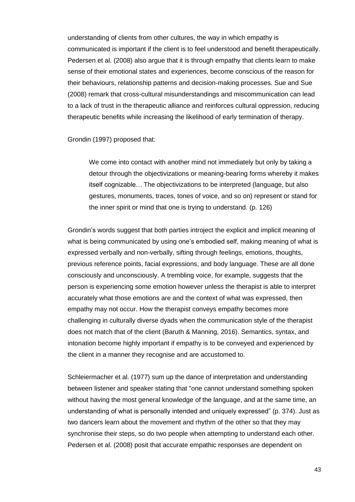understanding of clients from other cultures, the way in which empathy is communicated is important if the client is to feel understood and benefit therapeutically. Pedersen et al. (2008) also argue that it is through empathy that clients learn to make sense of their emotional states and experiences, become conscious of the reason for their behaviours, relationship patterns and decision-making processes. Sue and Sue (2008) remark that cross-cultural misunderstandings and miscommunication can lead to a lack of trust in the therapeutic alliance and reinforces cultural oppression, reducing therapeutic benefits while increasing the likelihood of early termination of therapy.

Grondin (1997) proposed that:

We come into contact with another mind not immediately but only by taking a detour through the objectivizations or meaning-bearing forms whereby it makes itself cognizable… The objectivizations to be interpreted (language, but also gestures, monuments, traces, tones of voice, and so on) represent or stand for the inner spirit or mind that one is trying to understand. (p. 126)

Grondin's words suggest that both parties introject the explicit and implicit meaning of what is being communicated by using one's embodied self, making meaning of what is expressed verbally and non-verbally, sifting through feelings, emotions, thoughts, previous reference points, facial expressions, and body language. These are all done consciously and unconsciously. A trembling voice, for example, suggests that the person is experiencing some emotion however unless the therapist is able to interpret accurately what those emotions are and the context of what was expressed, then empathy may not occur. How the therapist conveys empathy becomes more challenging in culturally diverse dyads when the communication style of the therapist does not match that of the client (Baruth & Manning, 2016). Semantics, syntax, and intonation become highly important if empathy is to be conveyed and experienced by the client in a manner they recognise and are accustomed to.

Schleiermacher et al. (1977) sum up the dance of interpretation and understanding between listener and speaker stating that "one cannot understand something spoken without having the most general knowledge of the language, and at the same time, an understanding of what is personally intended and uniquely expressed" (p. 374). Just as two dancers learn about the movement and rhythm of the other so that they may synchronise their steps, so do two people when attempting to understand each other. Pedersen et al. (2008) posit that accurate empathic responses are dependent on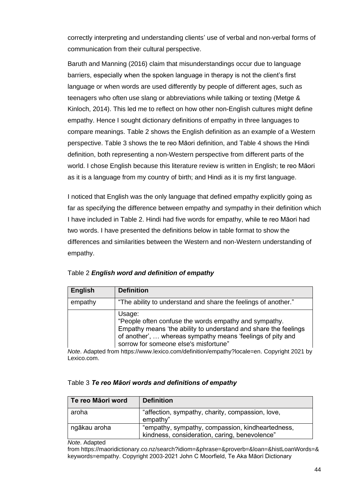correctly interpreting and understanding clients' use of verbal and non-verbal forms of communication from their cultural perspective.

Baruth and Manning (2016) claim that misunderstandings occur due to language barriers, especially when the spoken language in therapy is not the client's first language or when words are used differently by people of different ages, such as teenagers who often use slang or abbreviations while talking or texting (Metge & Kinloch, 2014). This led me to reflect on how other non-English cultures might define empathy. Hence I sought dictionary definitions of empathy in three languages to compare meanings. Table 2 shows the English definition as an example of a Western perspective. Table 3 shows the te reo Māori definition, and Table 4 shows the Hindi definition, both representing a non-Western perspective from different parts of the world. I chose English because this literature review is written in English; te reo Māori as it is a language from my country of birth; and Hindi as it is my first language.

I noticed that English was the only language that defined empathy explicitly going as far as specifying the difference between empathy and sympathy in their definition which I have included in Table 2. Hindi had five words for empathy, while te reo Māori had two words. I have presented the definitions below in table format to show the differences and similarities between the Western and non-Western understanding of empathy.

| <b>English</b> | <b>Definition</b>                                                                                                                                                                                                                         |
|----------------|-------------------------------------------------------------------------------------------------------------------------------------------------------------------------------------------------------------------------------------------|
| empathy        | "The ability to understand and share the feelings of another."                                                                                                                                                                            |
|                | Usage:<br>"People often confuse the words empathy and sympathy.<br>Empathy means 'the ability to understand and share the feelings<br>of another',  whereas sympathy means 'feelings of pity and<br>sorrow for someone else's misfortune" |

<span id="page-50-0"></span>Table 2 *English word and definition of empathy*

*Note*. Adapted from [https://www.lexico.com/definition/empathy?locale=en.](https://www.lexico.com/definition/empathy?locale=en) Copyright 2021 by Lexico.com.

<span id="page-50-1"></span>

| Te reo Māori word | <b>Definition</b>                                                                                 |
|-------------------|---------------------------------------------------------------------------------------------------|
| aroha             | "affection, sympathy, charity, compassion, love,<br>empathy"                                      |
| ngākau aroha      | "empathy, sympathy, compassion, kindheartedness,<br>kindness, consideration, caring, benevolence" |

*Note*. Adapted

from https://maoridictionary.co.nz/search?idiom=&phrase=&proverb=&loan=&histLoanWords=& keywords=empathy. Copyright 2003-2021 John C Moorfield, Te Aka Māori Dictionary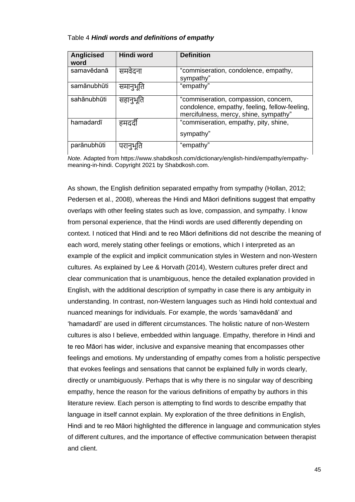#### <span id="page-51-0"></span>Table 4 *Hindi words and definitions of empathy*

| <b>Anglicised</b><br>word | Hindi word | <b>Definition</b>                                                                                                              |
|---------------------------|------------|--------------------------------------------------------------------------------------------------------------------------------|
| samavēdanā                | समवेदना    | "commiseration, condolence, empathy,<br>sympathy"                                                                              |
| samānubhūti               | समानुभूति  | "empathy"                                                                                                                      |
| sahānubhūti               | सहानुभूति  | "commiseration, compassion, concern,<br>condolence, empathy, feeling, fellow-feeling,<br>mercifulness, mercy, shine, sympathy" |
| hamadardī                 | हमदर्दी    | "commiseration, empathy, pity, shine,<br>sympathy"                                                                             |
| parānubhūti               | परानुभूति  | "empathy"                                                                                                                      |

*Note*. Adapted from https://www.shabdkosh.com/dictionary/english-hindi/empathy/empathymeaning-in-hindi. Copyright 2021 by Shabdkosh.com.

As shown, the English definition separated empathy from sympathy (Hollan, 2012; Pedersen et al., 2008), whereas the Hindi and Māori definitions suggest that empathy overlaps with other feeling states such as love, compassion, and sympathy. I know from personal experience, that the Hindi words are used differently depending on context. I noticed that Hindi and te reo Māori definitions did not describe the meaning of each word, merely stating other feelings or emotions, which I interpreted as an example of the explicit and implicit communication styles in Western and non-Western cultures. As explained by Lee & Horvath (2014), Western cultures prefer direct and clear communication that is unambiguous, hence the detailed explanation provided in English, with the additional description of sympathy in case there is any ambiguity in understanding. In contrast, non-Western languages such as Hindi hold contextual and nuanced meanings for individuals. For example, the words 'samavēdanā' and 'hamadardī' are used in different circumstances. The holistic nature of non-Western cultures is also I believe, embedded within language. Empathy, therefore in Hindi and te reo Māori has wider, inclusive and expansive meaning that encompasses other feelings and emotions. My understanding of empathy comes from a holistic perspective that evokes feelings and sensations that cannot be explained fully in words clearly, directly or unambiguously. Perhaps that is why there is no singular way of describing empathy, hence the reason for the various definitions of empathy by authors in this literature review. Each person is attempting to find words to describe empathy that language in itself cannot explain. My exploration of the three definitions in English, Hindi and te reo Māori highlighted the difference in language and communication styles of different cultures, and the importance of effective communication between therapist and client.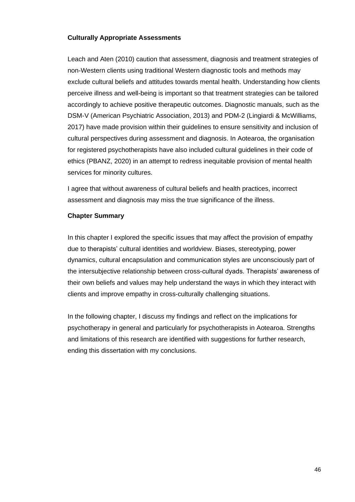## <span id="page-52-0"></span>**Culturally Appropriate Assessments**

Leach and Aten (2010) caution that assessment, diagnosis and treatment strategies of non-Western clients using traditional Western diagnostic tools and methods may exclude cultural beliefs and attitudes towards mental health. Understanding how clients perceive illness and well-being is important so that treatment strategies can be tailored accordingly to achieve positive therapeutic outcomes. Diagnostic manuals, such as the DSM-V (American Psychiatric Association, 2013) and PDM-2 (Lingiardi & McWilliams, 2017) have made provision within their guidelines to ensure sensitivity and inclusion of cultural perspectives during assessment and diagnosis. In Aotearoa, the organisation for registered psychotherapists have also included cultural guidelines in their code of ethics (PBANZ, 2020) in an attempt to redress inequitable provision of mental health services for minority cultures.

I agree that without awareness of cultural beliefs and health practices, incorrect assessment and diagnosis may miss the true significance of the illness.

## <span id="page-52-1"></span>**Chapter Summary**

In this chapter I explored the specific issues that may affect the provision of empathy due to therapists' cultural identities and worldview. Biases, stereotyping, power dynamics, cultural encapsulation and communication styles are unconsciously part of the intersubjective relationship between cross-cultural dyads. Therapists' awareness of their own beliefs and values may help understand the ways in which they interact with clients and improve empathy in cross-culturally challenging situations.

In the following chapter, I discuss my findings and reflect on the implications for psychotherapy in general and particularly for psychotherapists in Aotearoa. Strengths and limitations of this research are identified with suggestions for further research, ending this dissertation with my conclusions.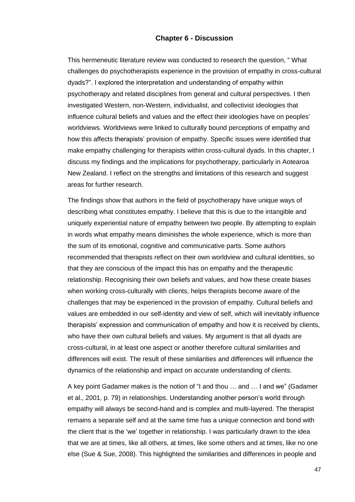#### **Chapter 6 - Discussion**

<span id="page-53-0"></span>This hermeneutic literature review was conducted to research the question, " What challenges do psychotherapists experience in the provision of empathy in cross-cultural dyads?". I explored the interpretation and understanding of empathy within psychotherapy and related disciplines from general and cultural perspectives. I then investigated Western, non-Western, individualist, and collectivist ideologies that influence cultural beliefs and values and the effect their ideologies have on peoples' worldviews. Worldviews were linked to culturally bound perceptions of empathy and how this affects therapists' provision of empathy. Specific issues were identified that make empathy challenging for therapists within cross-cultural dyads. In this chapter, I discuss my findings and the implications for psychotherapy, particularly in Aotearoa New Zealand. I reflect on the strengths and limitations of this research and suggest areas for further research.

The findings show that authors in the field of psychotherapy have unique ways of describing what constitutes empathy. I believe that this is due to the intangible and uniquely experiential nature of empathy between two people. By attempting to explain in words what empathy means diminishes the whole experience, which is more than the sum of its emotional, cognitive and communicative parts. Some authors recommended that therapists reflect on their own worldview and cultural identities, so that they are conscious of the impact this has on empathy and the therapeutic relationship. Recognising their own beliefs and values, and how these create biases when working cross-culturally with clients, helps therapists become aware of the challenges that may be experienced in the provision of empathy. Cultural beliefs and values are embedded in our self-identity and view of self, which will inevitably influence therapists' expression and communication of empathy and how it is received by clients, who have their own cultural beliefs and values. My argument is that all dyads are cross-cultural, in at least one aspect or another therefore cultural similarities and differences will exist. The result of these similarities and differences will influence the dynamics of the relationship and impact on accurate understanding of clients.

A key point Gadamer makes is the notion of "I and thou … and … I and we" (Gadamer et al., 2001, p. 79) in relationships. Understanding another person's world through empathy will always be second-hand and is complex and multi-layered. The therapist remains a separate self and at the same time has a unique connection and bond with the client that is the 'we' together in relationship. I was particularly drawn to the idea that we are at times, like all others, at times, like some others and at times, like no one else (Sue & Sue, 2008). This highlighted the similarities and differences in people and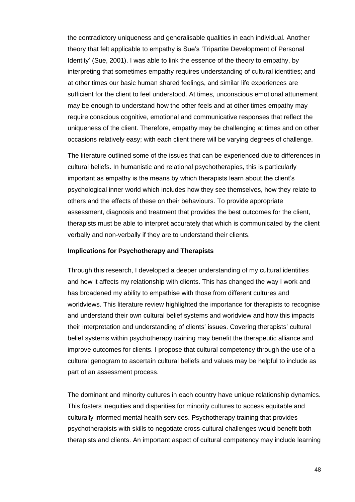the contradictory uniqueness and generalisable qualities in each individual. Another theory that felt applicable to empathy is Sue's 'Tripartite Development of Personal Identity' (Sue, 2001). I was able to link the essence of the theory to empathy, by interpreting that sometimes empathy requires understanding of cultural identities; and at other times our basic human shared feelings, and similar life experiences are sufficient for the client to feel understood. At times, unconscious emotional attunement may be enough to understand how the other feels and at other times empathy may require conscious cognitive, emotional and communicative responses that reflect the uniqueness of the client. Therefore, empathy may be challenging at times and on other occasions relatively easy; with each client there will be varying degrees of challenge.

The literature outlined some of the issues that can be experienced due to differences in cultural beliefs. In humanistic and relational psychotherapies, this is particularly important as empathy is the means by which therapists learn about the client's psychological inner world which includes how they see themselves, how they relate to others and the effects of these on their behaviours. To provide appropriate assessment, diagnosis and treatment that provides the best outcomes for the client, therapists must be able to interpret accurately that which is communicated by the client verbally and non-verbally if they are to understand their clients.

## <span id="page-54-0"></span>**Implications for Psychotherapy and Therapists**

Through this research, I developed a deeper understanding of my cultural identities and how it affects my relationship with clients. This has changed the way I work and has broadened my ability to empathise with those from different cultures and worldviews. This literature review highlighted the importance for therapists to recognise and understand their own cultural belief systems and worldview and how this impacts their interpretation and understanding of clients' issues. Covering therapists' cultural belief systems within psychotherapy training may benefit the therapeutic alliance and improve outcomes for clients. I propose that cultural competency through the use of a cultural genogram to ascertain cultural beliefs and values may be helpful to include as part of an assessment process.

The dominant and minority cultures in each country have unique relationship dynamics. This fosters inequities and disparities for minority cultures to access equitable and culturally informed mental health services. Psychotherapy training that provides psychotherapists with skills to negotiate cross-cultural challenges would benefit both therapists and clients. An important aspect of cultural competency may include learning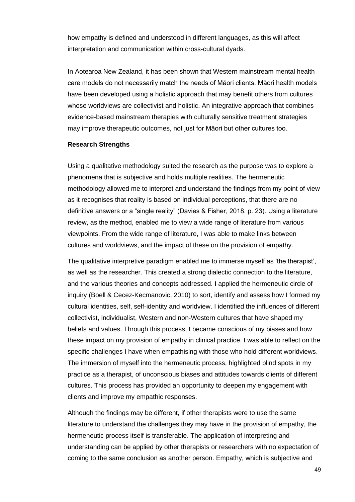how empathy is defined and understood in different languages, as this will affect interpretation and communication within cross-cultural dyads.

In Aotearoa New Zealand, it has been shown that Western mainstream mental health care models do not necessarily match the needs of Māori clients. Māori health models have been developed using a holistic approach that may benefit others from cultures whose worldviews are collectivist and holistic. An integrative approach that combines evidence-based mainstream therapies with culturally sensitive treatment strategies may improve therapeutic outcomes, not just for Māori but other cultures too.

#### <span id="page-55-0"></span>**Research Strengths**

Using a qualitative methodology suited the research as the purpose was to explore a phenomena that is subjective and holds multiple realities. The hermeneutic methodology allowed me to interpret and understand the findings from my point of view as it recognises that reality is based on individual perceptions, that there are no definitive answers or a "single reality" (Davies & Fisher, 2018, p. 23). Using a literature review, as the method, enabled me to view a wide range of literature from various viewpoints. From the wide range of literature, I was able to make links between cultures and worldviews, and the impact of these on the provision of empathy.

The qualitative interpretive paradigm enabled me to immerse myself as 'the therapist', as well as the researcher. This created a strong dialectic connection to the literature, and the various theories and concepts addressed. I applied the hermeneutic circle of inquiry (Boell & Cecez-Kecmanovic, 2010) to sort, identify and assess how I formed my cultural identities, self, self-identity and worldview. I identified the influences of different collectivist, individualist, Western and non-Western cultures that have shaped my beliefs and values. Through this process, I became conscious of my biases and how these impact on my provision of empathy in clinical practice. I was able to reflect on the specific challenges I have when empathising with those who hold different worldviews. The immersion of myself into the hermeneutic process, highlighted blind spots in my practice as a therapist, of unconscious biases and attitudes towards clients of different cultures. This process has provided an opportunity to deepen my engagement with clients and improve my empathic responses.

Although the findings may be different, if other therapists were to use the same literature to understand the challenges they may have in the provision of empathy, the hermeneutic process itself is transferable. The application of interpreting and understanding can be applied by other therapists or researchers with no expectation of coming to the same conclusion as another person. Empathy, which is subjective and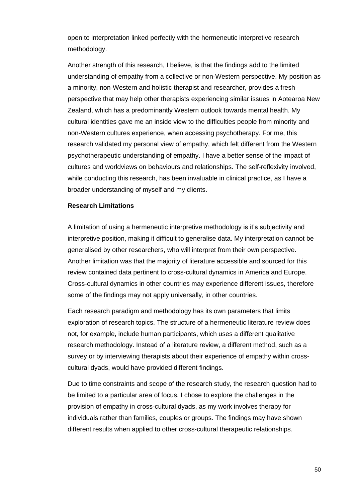open to interpretation linked perfectly with the hermeneutic interpretive research methodology.

Another strength of this research, I believe, is that the findings add to the limited understanding of empathy from a collective or non-Western perspective. My position as a minority, non-Western and holistic therapist and researcher, provides a fresh perspective that may help other therapists experiencing similar issues in Aotearoa New Zealand, which has a predominantly Western outlook towards mental health. My cultural identities gave me an inside view to the difficulties people from minority and non-Western cultures experience, when accessing psychotherapy. For me, this research validated my personal view of empathy, which felt different from the Western psychotherapeutic understanding of empathy. I have a better sense of the impact of cultures and worldviews on behaviours and relationships. The self-reflexivity involved, while conducting this research, has been invaluable in clinical practice, as I have a broader understanding of myself and my clients.

## <span id="page-56-0"></span>**Research Limitations**

A limitation of using a hermeneutic interpretive methodology is it's subjectivity and interpretive position, making it difficult to generalise data. My interpretation cannot be generalised by other researchers, who will interpret from their own perspective. Another limitation was that the majority of literature accessible and sourced for this review contained data pertinent to cross-cultural dynamics in America and Europe. Cross-cultural dynamics in other countries may experience different issues, therefore some of the findings may not apply universally, in other countries.

Each research paradigm and methodology has its own parameters that limits exploration of research topics. The structure of a hermeneutic literature review does not, for example, include human participants, which uses a different qualitative research methodology. Instead of a literature review, a different method, such as a survey or by interviewing therapists about their experience of empathy within crosscultural dyads, would have provided different findings.

Due to time constraints and scope of the research study, the research question had to be limited to a particular area of focus. I chose to explore the challenges in the provision of empathy in cross-cultural dyads, as my work involves therapy for individuals rather than families, couples or groups. The findings may have shown different results when applied to other cross-cultural therapeutic relationships.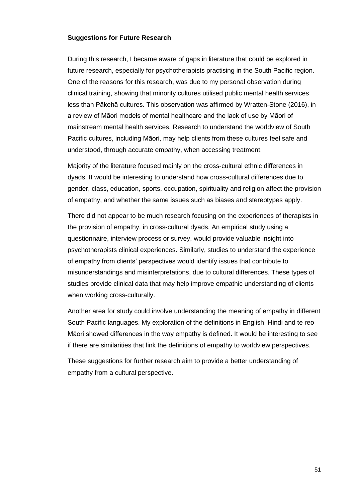## <span id="page-57-0"></span>**Suggestions for Future Research**

During this research, I became aware of gaps in literature that could be explored in future research, especially for psychotherapists practising in the South Pacific region. One of the reasons for this research, was due to my personal observation during clinical training, showing that minority cultures utilised public mental health services less than Pākehā cultures. This observation was affirmed by Wratten-Stone (2016), in a review of Māori models of mental healthcare and the lack of use by Māori of mainstream mental health services. Research to understand the worldview of South Pacific cultures, including Māori, may help clients from these cultures feel safe and understood, through accurate empathy, when accessing treatment.

Majority of the literature focused mainly on the cross-cultural ethnic differences in dyads. It would be interesting to understand how cross-cultural differences due to gender, class, education, sports, occupation, spirituality and religion affect the provision of empathy, and whether the same issues such as biases and stereotypes apply.

There did not appear to be much research focusing on the experiences of therapists in the provision of empathy, in cross-cultural dyads. An empirical study using a questionnaire, interview process or survey, would provide valuable insight into psychotherapists clinical experiences. Similarly, studies to understand the experience of empathy from clients' perspectives would identify issues that contribute to misunderstandings and misinterpretations, due to cultural differences. These types of studies provide clinical data that may help improve empathic understanding of clients when working cross-culturally.

Another area for study could involve understanding the meaning of empathy in different South Pacific languages. My exploration of the definitions in English, Hindi and te reo Māori showed differences in the way empathy is defined. It would be interesting to see if there are similarities that link the definitions of empathy to worldview perspectives.

These suggestions for further research aim to provide a better understanding of empathy from a cultural perspective.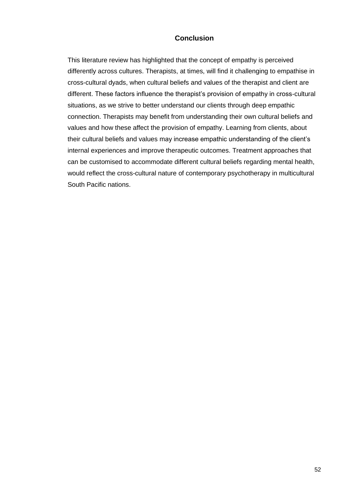## **Conclusion**

<span id="page-58-0"></span>This literature review has highlighted that the concept of empathy is perceived differently across cultures. Therapists, at times, will find it challenging to empathise in cross-cultural dyads, when cultural beliefs and values of the therapist and client are different. These factors influence the therapist's provision of empathy in cross-cultural situations, as we strive to better understand our clients through deep empathic connection. Therapists may benefit from understanding their own cultural beliefs and values and how these affect the provision of empathy. Learning from clients, about their cultural beliefs and values may increase empathic understanding of the client's internal experiences and improve therapeutic outcomes. Treatment approaches that can be customised to accommodate different cultural beliefs regarding mental health, would reflect the cross-cultural nature of contemporary psychotherapy in multicultural South Pacific nations.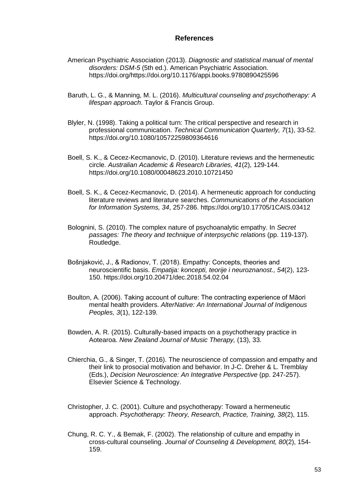## **References**

- <span id="page-59-0"></span>American Psychiatric Association (2013). *Diagnostic and statistical manual of mental disorders: DSM-5* (5th ed.). American Psychiatric Association. https://doi.org/https://doi.org/10.1176/appi.books.9780890425596
- Baruth, L. G., & Manning, M. L. (2016). *Multicultural counseling and psychotherapy: A lifespan approach*. Taylor & Francis Group.
- Blyler, N. (1998). Taking a political turn: The critical perspective and research in professional communication. *Technical Communication Quarterly, 7*(1), 33-52. https://doi.org/10.1080/10572259809364616
- Boell, S. K., & Cecez-Kecmanovic, D. (2010). Literature reviews and the hermeneutic circle. *Australian Academic & Research Libraries, 41*(2), 129-144. https://doi.org/10.1080/00048623.2010.10721450
- Boell, S. K., & Cecez-Kecmanovic, D. (2014). A hermeneutic approach for conducting literature reviews and literature searches. *Communications of the Association for Information Systems, 34*, 257-286. https://doi.org/10.17705/1CAIS.03412
- Bolognini, S. (2010). The complex nature of psychoanalytic empathy. In *Secret passages: The theory and technique of interpsychic relations* (pp. 119-137). Routledge.
- Bošnjaković, J., & Radionov, T. (2018). Empathy: Concepts, theories and neuroscientific basis. *Empatija: koncepti, teorije i neuroznanost., 54*(2), 123- 150. https://doi.org/10.20471/dec.2018.54.02.04
- Boulton, A. (2006). Taking account of culture: The contracting experience of Māori mental health providers. *AlterNative: An International Journal of Indigenous Peoples, 3*(1), 122-139.
- Bowden, A. R. (2015). Culturally-based impacts on a psychotherapy practice in Aotearoa. *New Zealand Journal of Music Therapy,* (13), 33.
- Chierchia, G., & Singer, T. (2016). The neuroscience of compassion and empathy and their link to prosocial motivation and behavior. In J-C. Dreher & L. Tremblay (Eds.), *Decision Neuroscience: An Integrative Perspective* (pp. 247-257). Elsevier Science & Technology.
- Christopher, J. C. (2001). Culture and psychotherapy: Toward a hermeneutic approach. *Psychotherapy: Theory, Research, Practice, Training, 38*(2), 115.
- Chung, R. C. Y., & Bemak, F. (2002). The relationship of culture and empathy in cross‐cultural counseling. *Journal of Counseling & Development, 80*(2), 154- 159.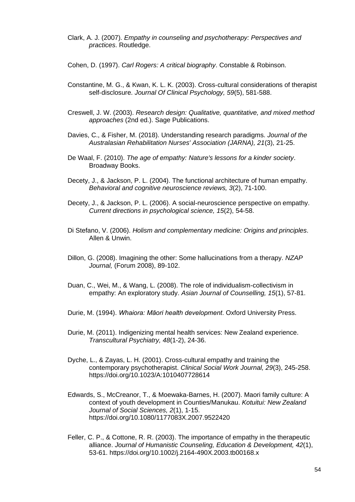- Clark, A. J. (2007). *Empathy in counseling and psychotherapy: Perspectives and practices*. Routledge.
- Cohen, D. (1997). *Carl Rogers: A critical biography*. Constable & Robinson.
- Constantine, M. G., & Kwan, K. L. K. (2003). Cross‐cultural considerations of therapist self‐disclosure. *Journal Of Clinical Psychology, 59*(5), 581-588.
- Creswell, J. W. (2003). *Research design: Qualitative, quantitative, and mixed method approaches* (2nd ed.). Sage Publications.
- Davies, C., & Fisher, M. (2018). Understanding research paradigms. *Journal of the Australasian Rehabilitation Nurses' Association (JARNA), 21*(3), 21-25.
- De Waal, F. (2010). *The age of empathy: Nature's lessons for a kinder society*. Broadway Books.
- Decety, J., & Jackson, P. L. (2004). The functional architecture of human empathy. *Behavioral and cognitive neuroscience reviews, 3*(2), 71-100.
- Decety, J., & Jackson, P. L. (2006). A social-neuroscience perspective on empathy. *Current directions in psychological science, 15*(2), 54-58.
- Di Stefano, V. (2006). *Holism and complementary medicine: Origins and principles*. Allen & Unwin.
- Dillon, G. (2008). Imagining the other: Some hallucinations from a therapy. *NZAP Journal,* (Forum 2008), 89-102.
- Duan, C., Wei, M., & Wang, L. (2008). The role of individualism-collectivism in empathy: An exploratory study. *Asian Journal of Counselling, 15*(1), 57-81.
- Durie, M. (1994). *Whaiora: Māori health development*. Oxford University Press.
- Durie, M. (2011). Indigenizing mental health services: New Zealand experience. *Transcultural Psychiatry, 48*(1-2), 24-36.
- Dyche, L., & Zayas, L. H. (2001). Cross-cultural empathy and training the contemporary psychotherapist. *Clinical Social Work Journal, 29*(3), 245-258. https://doi.org/10.1023/A:1010407728614
- Edwards, S., McCreanor, T., & Moewaka-Barnes, H. (2007). Maori family culture: A context of youth development in Counties/Manukau. *Kotuitui: New Zealand Journal of Social Sciences, 2*(1), 1-15. https://doi.org/10.1080/1177083X.2007.9522420
- Feller, C. P., & Cottone, R. R. (2003). The importance of empathy in the therapeutic alliance. *Journal of Humanistic Counseling, Education & Development, 42*(1), 53-61. https://doi.org/10.1002/j.2164-490X.2003.tb00168.x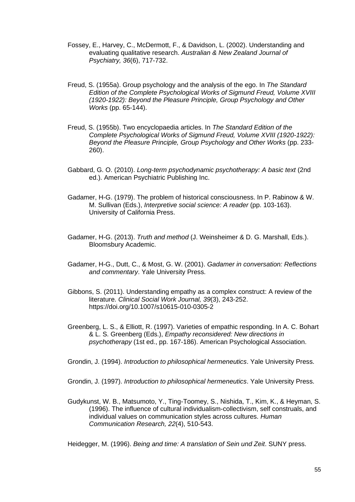- Fossey, E., Harvey, C., McDermott, F., & Davidson, L. (2002). Understanding and evaluating qualitative research. *Australian & New Zealand Journal of Psychiatry, 36*(6), 717-732.
- Freud, S. (1955a). Group psychology and the analysis of the ego. In *The Standard Edition of the Complete Psychological Works of Sigmund Freud, Volume XVIII (1920-1922): Beyond the Pleasure Principle, Group Psychology and Other Works* (pp. 65-144).
- Freud, S. (1955b). Two encyclopaedia articles. In *The Standard Edition of the Complete Psychological Works of Sigmund Freud, Volume XVIII (1920-1922): Beyond the Pleasure Principle, Group Psychology and Other Works* (pp. 233- 260).
- Gabbard, G. O. (2010). *Long-term psychodynamic psychotherapy: A basic text* (2nd ed.). American Psychiatric Publishing Inc.
- Gadamer, H-G. (1979). The problem of historical consciousness. In P. Rabinow & W. M. Sullivan (Eds.), *Interpretive social science: A reader* (pp. 103-163). University of California Press.
- Gadamer, H-G. (2013). *Truth and method* (J. Weinsheimer & D. G. Marshall, Eds.). Bloomsbury Academic.
- Gadamer, H-G., Dutt, C., & Most, G. W. (2001). *Gadamer in conversation: Reflections and commentary*. Yale University Press.
- Gibbons, S. (2011). Understanding empathy as a complex construct: A review of the literature. *Clinical Social Work Journal, 39*(3), 243-252. https://doi.org/10.1007/s10615-010-0305-2
- Greenberg, L. S., & Elliott, R. (1997). Varieties of empathic responding. In A. C. Bohart & L. S. Greenberg (Eds.), *Empathy reconsidered: New directions in psychotherapy* (1st ed., pp. 167-186). American Psychological Association.

Grondin, J. (1994). *Introduction to philosophical hermeneutics*. Yale University Press.

Grondin, J. (1997). *Introduction to philosophical hermeneutics*. Yale University Press.

Gudykunst, W. B., Matsumoto, Y., Ting-Toomey, S., Nishida, T., Kim, K., & Heyman, S. (1996). The influence of cultural individualism-collectivism, self construals, and individual values on communication styles across cultures. *Human Communication Research, 22*(4), 510-543.

Heidegger, M. (1996). *Being and time: A translation of Sein und Zeit*. SUNY press.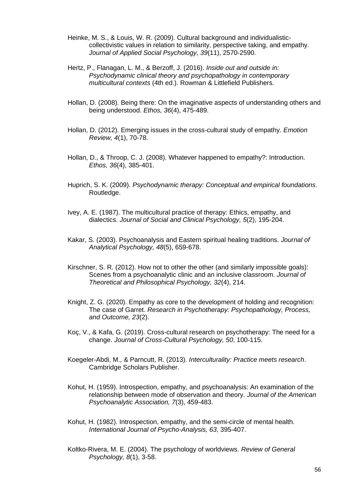- Heinke, M. S., & Louis, W. R. (2009). Cultural background and individualisticcollectivistic values in relation to similarity, perspective taking, and empathy. *Journal of Applied Social Psychology, 39*(11), 2570-2590.
- Hertz, P., Flanagan, L. M., & Berzoff, J. (2016). *Inside out and outside in: Psychodynamic clinical theory and psychopathology in contemporary multicultural contexts* (4th ed.). Rowman & Littlefield Publishers.
- Hollan, D. (2008). Being there: On the imaginative aspects of understanding others and being understood. *Ethos, 36*(4), 475-489.
- Hollan, D. (2012). Emerging issues in the cross-cultural study of empathy. *Emotion Review, 4*(1), 70-78.
- Hollan, D., & Throop, C. J. (2008). Whatever happened to empathy?: Introduction. *Ethos, 36*(4), 385-401.
- Huprich, S. K. (2009). *Psychodynamic therapy: Conceptual and empirical foundations*. Routledge.
- Ivey, A. E. (1987). The multicultural practice of therapy: Ethics, empathy, and dialectics. *Journal of Social and Clinical Psychology, 5*(2), 195-204.
- Kakar, S. (2003). Psychoanalysis and Eastern spiritual healing traditions. *Journal of Analytical Psychology, 48*(5), 659-678.
- Kirschner, S. R. (2012). How not to other the other (and similarly impossible goals): Scenes from a psychoanalytic clinic and an inclusive classroom. *Journal of Theoretical and Philosophical Psychology, 32*(4), 214.
- Knight, Z. G. (2020). Empathy as core to the development of holding and recognition: The case of Garret. *Research in Psychotherapy: Psychopathology, Process, and Outcome, 23*(2).
- Koç, V., & Kafa, G. (2019). Cross-cultural research on psychotherapy: The need for a change. *Journal of Cross-Cultural Psychology, 50*, 100-115.
- Koegeler-Abdi, M., & Parncutt, R. (2013). *Interculturality: Practice meets research*. Cambridge Scholars Publisher.
- Kohut, H. (1959). Introspection, empathy, and psychoanalysis: An examination of the relationship between mode of observation and theory. *Journal of the American Psychoanalytic Association, 7*(3), 459-483.
- Kohut, H. (1982). Introspection, empathy, and the semi-circle of mental health. *International Journal of Psycho-Analysis, 63*, 395-407.
- Koltko-Rivera, M. E. (2004). The psychology of worldviews. *Review of General Psychology, 8*(1), 3-58.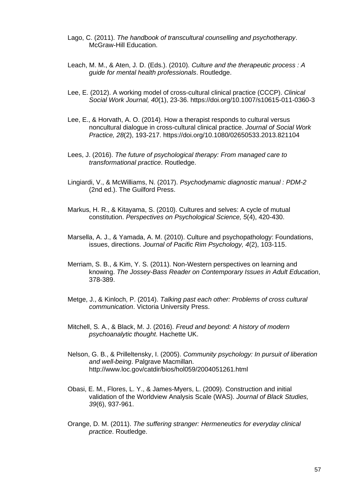- Lago, C. (2011). *The handbook of transcultural counselling and psychotherapy*. McGraw-Hill Education.
- Leach, M. M., & Aten, J. D. (Eds.). (2010). *Culture and the therapeutic process : A guide for mental health professionals*. Routledge.
- Lee, E. (2012). A working model of cross-cultural clinical practice (CCCP). *Clinical Social Work Journal, 40*(1), 23-36. https://doi.org/10.1007/s10615-011-0360-3
- Lee, E., & Horvath, A. O. (2014). How a therapist responds to cultural versus noncultural dialogue in cross-cultural clinical practice. *Journal of Social Work Practice, 28*(2), 193-217. https://doi.org/10.1080/02650533.2013.821104
- Lees, J. (2016). *The future of psychological therapy: From managed care to transformational practice*. Routledge.
- Lingiardi, V., & McWilliams, N. (2017). *Psychodynamic diagnostic manual : PDM-2* (2nd ed.). The Guilford Press.
- Markus, H. R., & Kitayama, S. (2010). Cultures and selves: A cycle of mutual constitution. *Perspectives on Psychological Science, 5*(4), 420-430.
- Marsella, A. J., & Yamada, A. M. (2010). Culture and psychopathology: Foundations, issues, directions. *Journal of Pacific Rim Psychology, 4*(2), 103-115.
- Merriam, S. B., & Kim, Y. S. (2011). Non-Western perspectives on learning and knowing. *The Jossey-Bass Reader on Contemporary Issues in Adult Education*, 378-389.
- Metge, J., & Kinloch, P. (2014). *Talking past each other: Problems of cross cultural communication*. Victoria University Press.
- Mitchell, S. A., & Black, M. J. (2016). *Freud and beyond: A history of modern psychoanalytic thought*. Hachette UK.
- Nelson, G. B., & Prilleltensky, I. (2005). *Community psychology: In pursuit of liberation and well-being*. Palgrave Macmillan. http://www.loc.gov/catdir/bios/hol059/2004051261.html
- Obasi, E. M., Flores, L. Y., & James-Myers, L. (2009). Construction and initial validation of the Worldview Analysis Scale (WAS). *Journal of Black Studies, 39*(6), 937-961.
- Orange, D. M. (2011). *The suffering stranger: Hermeneutics for everyday clinical practice*. Routledge.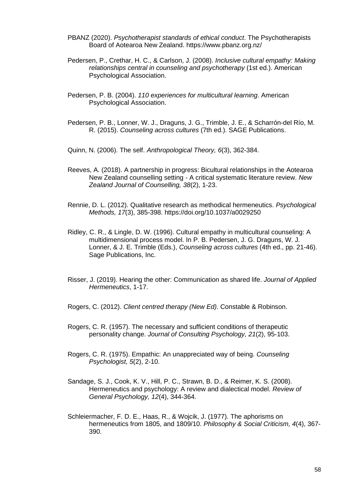- PBANZ (2020). *Psychotherapist standards of ethical conduct*. The Psychotherapists Board of Aotearoa New Zealand. https://www.pbanz.org.nz/
- Pedersen, P., Crethar, H. C., & Carlson, J. (2008). *Inclusive cultural empathy: Making relationships central in counseling and psychotherapy* (1st ed.). American Psychological Association.
- Pedersen, P. B. (2004). *110 experiences for multicultural learning*. American Psychological Association.
- Pedersen, P. B., Lonner, W. J., Draguns, J. G., Trimble, J. E., & Scharrón-del Río, M. R. (2015). *Counseling across cultures* (7th ed.). SAGE Publications.
- Quinn, N. (2006). The self. *Anthropological Theory, 6*(3), 362-384.
- Reeves, A. (2018). A partnership in progress: Bicultural relationships in the Aotearoa New Zealand counselling setting - A critical systematic literature review. *New Zealand Journal of Counselling, 38*(2), 1-23.
- Rennie, D. L. (2012). Qualitative research as methodical hermeneutics. *Psychological Methods, 17*(3), 385-398. https://doi.org/10.1037/a0029250
- Ridley, C. R., & Lingle, D. W. (1996). Cultural empathy in multicultural counseling: A multidimensional process model. In P. B. Pedersen, J. G. Draguns, W. J. Lonner, & J. E. Trimble (Eds.), *Counseling across cultures* (4th ed., pp. 21-46). Sage Publications, Inc.
- Risser, J. (2019). Hearing the other: Communication as shared life. *Journal of Applied Hermeneutics*, 1-17.
- Rogers, C. (2012). *Client centred therapy (New Ed)*. Constable & Robinson.
- Rogers, C. R. (1957). The necessary and sufficient conditions of therapeutic personality change. *Journal of Consulting Psychology, 21*(2), 95-103.
- Rogers, C. R. (1975). Empathic: An unappreciated way of being. *Counseling Psychologist, 5*(2), 2-10.
- Sandage, S. J., Cook, K. V., Hill, P. C., Strawn, B. D., & Reimer, K. S. (2008). Hermeneutics and psychology: A review and dialectical model. *Review of General Psychology, 12*(4), 344-364.
- Schleiermacher, F. D. E., Haas, R., & Wojcik, J. (1977). The aphorisms on hermeneutics from 1805, and 1809/10. *Philosophy & Social Criticism, 4*(4), 367- 390.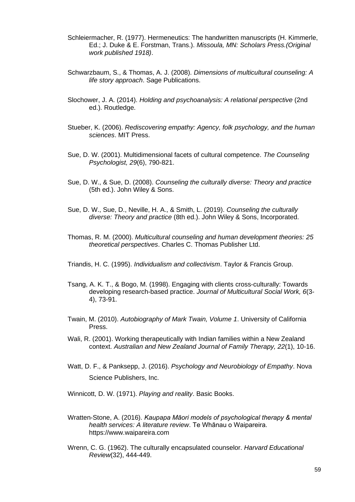- Schleiermacher, R. (1977). Hermeneutics: The handwritten manuscripts (H. Kimmerle, Ed.; J. Duke & E. Forstman, Trans.). *Missoula, MN: Scholars Press.(Original work published 1918)*.
- Schwarzbaum, S., & Thomas, A. J. (2008). *Dimensions of multicultural counseling: A life story approach*. Sage Publications.
- Slochower, J. A. (2014). *Holding and psychoanalysis: A relational perspective* (2nd ed.). Routledge.
- Stueber, K. (2006). *Rediscovering empathy: Agency, folk psychology, and the human sciences*. MIT Press.
- Sue, D. W. (2001). Multidimensional facets of cultural competence. *The Counseling Psychologist, 29*(6), 790-821.
- Sue, D. W., & Sue, D. (2008). *Counseling the culturally diverse: Theory and practice* (5th ed.). John Wiley & Sons.
- Sue, D. W., Sue, D., Neville, H. A., & Smith, L. (2019). *Counseling the culturally diverse: Theory and practice* (8th ed.). John Wiley & Sons, Incorporated.
- Thomas, R. M. (2000). *Multicultural counseling and human development theories: 25 theoretical perspectives*. Charles C. Thomas Publisher Ltd.
- Triandis, H. C. (1995). *Individualism and collectivism*. Taylor & Francis Group.
- Tsang, A. K. T., & Bogo, M. (1998). Engaging with clients cross-culturally: Towards developing research-based practice. *Journal of Multicultural Social Work, 6*(3- 4), 73-91.
- Twain, M. (2010). *Autobiography of Mark Twain, Volume 1*. University of California Press.
- Wali, R. (2001). Working therapeutically with Indian families within a New Zealand context. *Australian and New Zealand Journal of Family Therapy, 22*(1), 10-16.
- Watt, D. F., & Panksepp, J. (2016). *Psychology and Neurobiology of Empathy*. Nova Science Publishers, Inc.

Winnicott, D. W. (1971). *Playing and reality*. Basic Books.

- Wratten-Stone, A. (2016). *Kaupapa Māori models of psychological therapy & mental health services: A literature review*. Te Whānau o Waipareira. https://www.waipareira.com
- Wrenn, C. G. (1962). The culturally encapsulated counselor. *Harvard Educational Review*(32), 444-449.